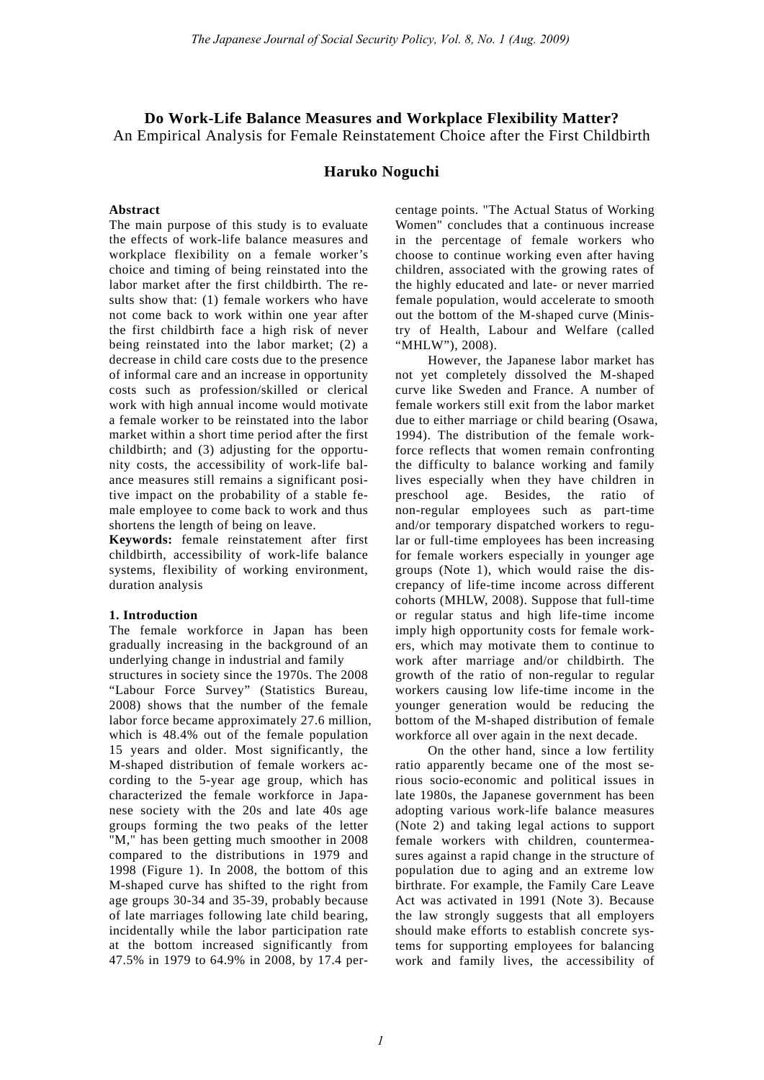## **Do Work-Life Balance Measures and Workplace Flexibility Matter?**  An Empirical Analysis for Female Reinstatement Choice after the First Childbirth

## **Haruko Noguchi**

### **Abstract**

The main purpose of this study is to evaluate the effects of work-life balance measures and workplace flexibility on a female worker's choice and timing of being reinstated into the labor market after the first childbirth. The results show that: (1) female workers who have not come back to work within one year after the first childbirth face a high risk of never being reinstated into the labor market; (2) a decrease in child care costs due to the presence of informal care and an increase in opportunity costs such as profession/skilled or clerical work with high annual income would motivate a female worker to be reinstated into the labor market within a short time period after the first childbirth; and (3) adjusting for the opportunity costs, the accessibility of work-life balance measures still remains a significant positive impact on the probability of a stable female employee to come back to work and thus shortens the length of being on leave.

**Keywords:** female reinstatement after first childbirth, accessibility of work-life balance systems, flexibility of working environment, duration analysis

#### **1. Introduction**

The female workforce in Japan has been gradually increasing in the background of an underlying change in industrial and family

structures in society since the 1970s. The 2008 "Labour Force Survey" (Statistics Bureau, 2008) shows that the number of the female labor force became approximately 27.6 million, which is 48.4% out of the female population 15 years and older. Most significantly, the M-shaped distribution of female workers according to the 5-year age group, which has characterized the female workforce in Japanese society with the 20s and late 40s age groups forming the two peaks of the letter "M," has been getting much smoother in 2008 compared to the distributions in 1979 and 1998 (Figure 1). In 2008, the bottom of this M-shaped curve has shifted to the right from age groups 30-34 and 35-39, probably because of late marriages following late child bearing, incidentally while the labor participation rate at the bottom increased significantly from 47.5% in 1979 to 64.9% in 2008, by 17.4 percentage points. "The Actual Status of Working Women" concludes that a continuous increase in the percentage of female workers who choose to continue working even after having children, associated with the growing rates of the highly educated and late- or never married female population, would accelerate to smooth out the bottom of the M-shaped curve (Ministry of Health, Labour and Welfare (called "MHLW"), 2008).

However, the Japanese labor market has not yet completely dissolved the M-shaped curve like Sweden and France. A number of female workers still exit from the labor market due to either marriage or child bearing (Osawa, 1994). The distribution of the female workforce reflects that women remain confronting the difficulty to balance working and family lives especially when they have children in preschool age. Besides, the ratio of non-regular employees such as part-time and/or temporary dispatched workers to regular or full-time employees has been increasing for female workers especially in younger age groups (Note 1), which would raise the discrepancy of life-time income across different cohorts (MHLW, 2008). Suppose that full-time or regular status and high life-time income imply high opportunity costs for female workers, which may motivate them to continue to work after marriage and/or childbirth. The growth of the ratio of non-regular to regular workers causing low life-time income in the younger generation would be reducing the bottom of the M-shaped distribution of female workforce all over again in the next decade.

On the other hand, since a low fertility ratio apparently became one of the most serious socio-economic and political issues in late 1980s, the Japanese government has been adopting various work-life balance measures (Note 2) and taking legal actions to support female workers with children, countermeasures against a rapid change in the structure of population due to aging and an extreme low birthrate. For example, the Family Care Leave Act was activated in 1991 (Note 3). Because the law strongly suggests that all employers should make efforts to establish concrete systems for supporting employees for balancing work and family lives, the accessibility of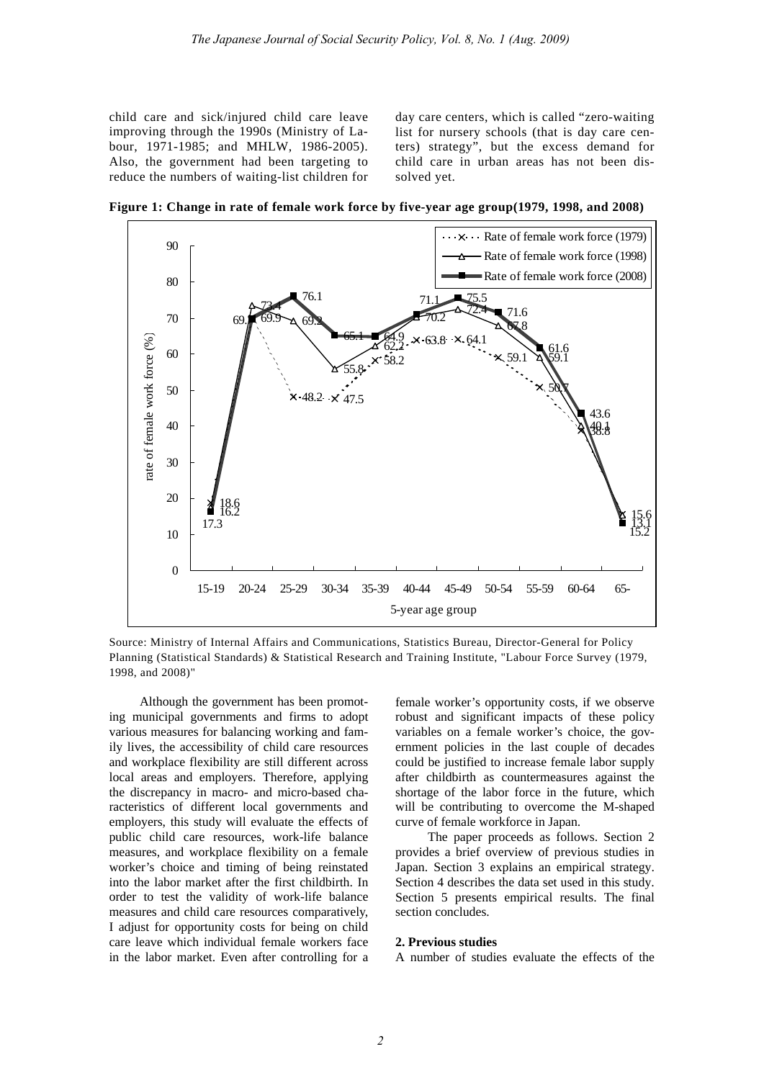child care and sick/injured child care leave improving through the 1990s (Ministry of Labour, 1971-1985; and MHLW, 1986-2005). Also, the government had been targeting to reduce the numbers of waiting-list children for day care centers, which is called "zero-waiting list for nursery schools (that is day care centers) strategy", but the excess demand for child care in urban areas has not been dissolved yet.

**Figure 1: Change in rate of female work force by five-year age group(1979, 1998, and 2008)** 



Source: Ministry of Internal Affairs and Communications, Statistics Bureau, Director-General for Policy Planning (Statistical Standards) & Statistical Research and Training Institute, "Labour Force Survey (1979, 1998, and 2008)"

Although the government has been promoting municipal governments and firms to adopt various measures for balancing working and family lives, the accessibility of child care resources and workplace flexibility are still different across local areas and employers. Therefore, applying the discrepancy in macro- and micro-based characteristics of different local governments and employers, this study will evaluate the effects of public child care resources, work-life balance measures, and workplace flexibility on a female worker's choice and timing of being reinstated into the labor market after the first childbirth. In order to test the validity of work-life balance measures and child care resources comparatively, I adjust for opportunity costs for being on child care leave which individual female workers face in the labor market. Even after controlling for a

female worker's opportunity costs, if we observe robust and significant impacts of these policy variables on a female worker's choice, the government policies in the last couple of decades could be justified to increase female labor supply after childbirth as countermeasures against the shortage of the labor force in the future, which will be contributing to overcome the M-shaped curve of female workforce in Japan.

The paper proceeds as follows. Section 2 provides a brief overview of previous studies in Japan. Section 3 explains an empirical strategy. Section 4 describes the data set used in this study. Section 5 presents empirical results. The final section concludes.

#### **2. Previous studies**

A number of studies evaluate the effects of the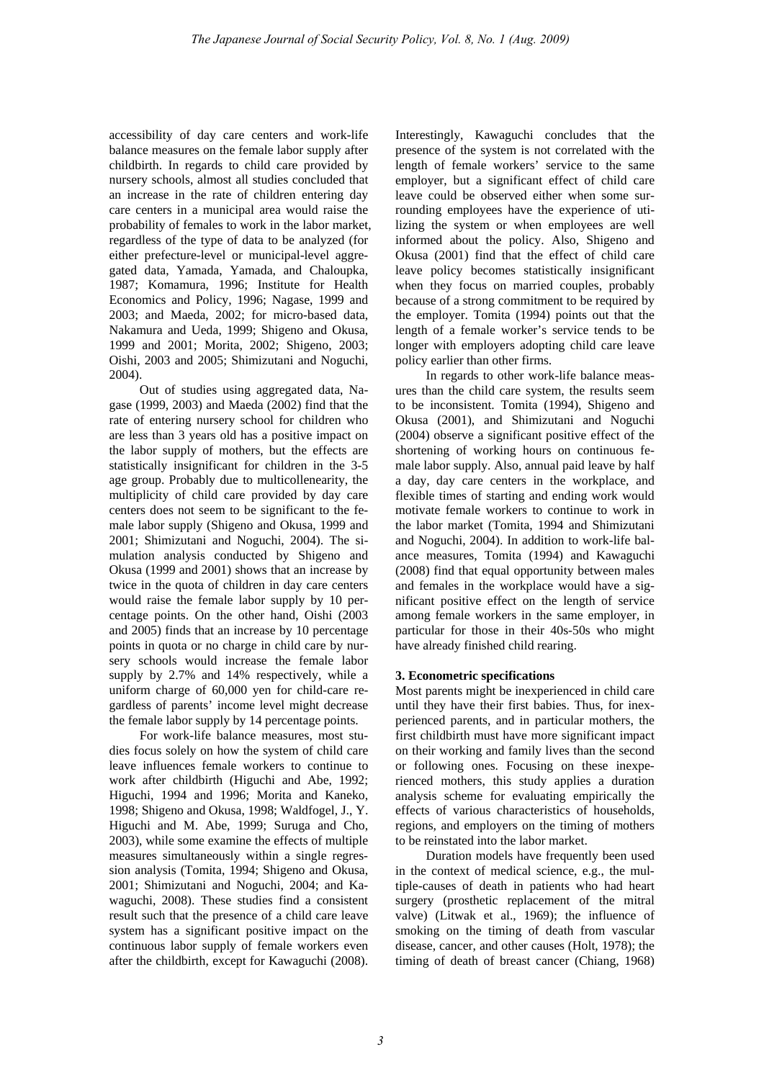accessibility of day care centers and work-life balance measures on the female labor supply after childbirth. In regards to child care provided by nursery schools, almost all studies concluded that an increase in the rate of children entering day care centers in a municipal area would raise the probability of females to work in the labor market, regardless of the type of data to be analyzed (for either prefecture-level or municipal-level aggregated data, Yamada, Yamada, and Chaloupka, 1987; Komamura, 1996; Institute for Health Economics and Policy, 1996; Nagase, 1999 and 2003; and Maeda, 2002; for micro-based data, Nakamura and Ueda, 1999; Shigeno and Okusa, 1999 and 2001; Morita, 2002; Shigeno, 2003; Oishi, 2003 and 2005; Shimizutani and Noguchi, 2004).

Out of studies using aggregated data, Nagase (1999, 2003) and Maeda (2002) find that the rate of entering nursery school for children who are less than 3 years old has a positive impact on the labor supply of mothers, but the effects are statistically insignificant for children in the 3-5 age group. Probably due to multicollenearity, the multiplicity of child care provided by day care centers does not seem to be significant to the female labor supply (Shigeno and Okusa, 1999 and 2001; Shimizutani and Noguchi, 2004). The simulation analysis conducted by Shigeno and Okusa (1999 and 2001) shows that an increase by twice in the quota of children in day care centers would raise the female labor supply by 10 percentage points. On the other hand, Oishi (2003 and 2005) finds that an increase by 10 percentage points in quota or no charge in child care by nursery schools would increase the female labor supply by 2.7% and 14% respectively, while a uniform charge of 60,000 yen for child-care regardless of parents' income level might decrease the female labor supply by 14 percentage points.

For work-life balance measures, most studies focus solely on how the system of child care leave influences female workers to continue to work after childbirth (Higuchi and Abe, 1992; Higuchi, 1994 and 1996; Morita and Kaneko, 1998; Shigeno and Okusa, 1998; Waldfogel, J., Y. Higuchi and M. Abe, 1999; Suruga and Cho, 2003), while some examine the effects of multiple measures simultaneously within a single regression analysis (Tomita, 1994; Shigeno and Okusa, 2001; Shimizutani and Noguchi, 2004; and Kawaguchi, 2008). These studies find a consistent result such that the presence of a child care leave system has a significant positive impact on the continuous labor supply of female workers even after the childbirth, except for Kawaguchi (2008). Interestingly, Kawaguchi concludes that the presence of the system is not correlated with the length of female workers' service to the same employer, but a significant effect of child care leave could be observed either when some surrounding employees have the experience of utilizing the system or when employees are well informed about the policy. Also, Shigeno and Okusa (2001) find that the effect of child care leave policy becomes statistically insignificant when they focus on married couples, probably because of a strong commitment to be required by the employer. Tomita (1994) points out that the length of a female worker's service tends to be longer with employers adopting child care leave policy earlier than other firms.

In regards to other work-life balance measures than the child care system, the results seem to be inconsistent. Tomita (1994), Shigeno and Okusa (2001), and Shimizutani and Noguchi (2004) observe a significant positive effect of the shortening of working hours on continuous female labor supply. Also, annual paid leave by half a day, day care centers in the workplace, and flexible times of starting and ending work would motivate female workers to continue to work in the labor market (Tomita, 1994 and Shimizutani and Noguchi, 2004). In addition to work-life balance measures, Tomita (1994) and Kawaguchi (2008) find that equal opportunity between males and females in the workplace would have a significant positive effect on the length of service among female workers in the same employer, in particular for those in their 40s-50s who might have already finished child rearing.

## **3. Econometric specifications**

Most parents might be inexperienced in child care until they have their first babies. Thus, for inexperienced parents, and in particular mothers, the first childbirth must have more significant impact on their working and family lives than the second or following ones. Focusing on these inexperienced mothers, this study applies a duration analysis scheme for evaluating empirically the effects of various characteristics of households, regions, and employers on the timing of mothers to be reinstated into the labor market.

Duration models have frequently been used in the context of medical science, e.g., the multiple-causes of death in patients who had heart surgery (prosthetic replacement of the mitral valve) (Litwak et al., 1969); the influence of smoking on the timing of death from vascular disease, cancer, and other causes (Holt, 1978); the timing of death of breast cancer (Chiang, 1968)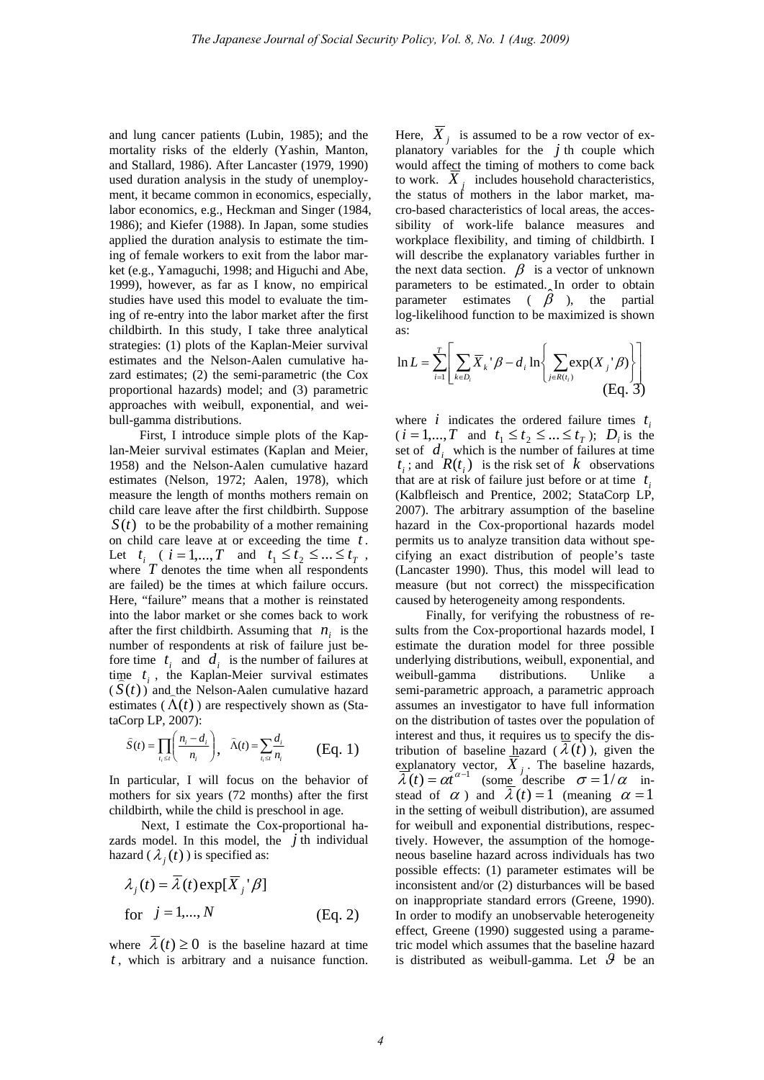and lung cancer patients (Lubin, 1985); and the mortality risks of the elderly (Yashin, Manton, and Stallard, 1986). After Lancaster (1979, 1990) used duration analysis in the study of unemployment, it became common in economics, especially, labor economics, e.g., Heckman and Singer (1984, 1986); and Kiefer (1988). In Japan, some studies applied the duration analysis to estimate the timing of female workers to exit from the labor market (e.g., Yamaguchi, 1998; and Higuchi and Abe, 1999), however, as far as I know, no empirical studies have used this model to evaluate the timing of re-entry into the labor market after the first childbirth. In this study, I take three analytical strategies: (1) plots of the Kaplan-Meier survival estimates and the Nelson-Aalen cumulative hazard estimates; (2) the semi-parametric (the Cox proportional hazards) model; and (3) parametric approaches with weibull, exponential, and weibull-gamma distributions.

First, I introduce simple plots of the Kaplan-Meier survival estimates (Kaplan and Meier, 1958) and the Nelson-Aalen cumulative hazard estimates (Nelson, 1972; Aalen, 1978), which measure the length of months mothers remain on child care leave after the first childbirth. Suppose  $S(t)$  to be the probability of a mother remaining on child care leave at or exceeding the time *t* . Let  $t_i$  (  $i = 1,...,T$  and  $t_1 \le t_2 \le ... \le t_T$ , where  $T$  denotes the time when all respondents are failed) be the times at which failure occurs. Here, "failure" means that a mother is reinstated into the labor market or she comes back to work after the first childbirth. Assuming that  $n_i$  is the number of respondents at risk of failure just before time  $t_i$  and  $d_i$  is the number of failures at time  $t_i$ , the Kaplan-Meier survival estimates  $(S(t))$  and the Nelson-Aalen cumulative hazard estimates  $(\Lambda(t))$  are respectively shown as (StataCorp LP, 2007):

$$
\widehat{S}(t) = \prod_{i_1 \leq t} \left( \frac{n_i - d_i}{n_i} \right), \quad \widehat{\Lambda}(t) = \sum_{i_1 \leq t} \frac{d_i}{n_i} \qquad \text{(Eq. 1)}
$$

In particular, I will focus on the behavior of mothers for six years (72 months) after the first childbirth, while the child is preschool in age.

Next, I estimate the Cox-proportional hazards model. In this model, the  $j$  th individual hazard ( $\lambda_i(t)$ ) is specified as:

$$
\lambda_j(t) = \overline{\lambda}(t) \exp[\overline{X}_j' \beta]
$$
  
for  $j = 1,..., N$  (Eq. 2)

where  $\overline{\lambda}(t) \ge 0$  is the baseline hazard at time *t* , which is arbitrary and a nuisance function.

Here,  $X_j$  is assumed to be a row vector of explanatory variables for the  $j$  th couple which would affect the timing of mothers to come back to work.  $\overline{X}_j$  includes household characteristics, the status of mothers in the labor market, macro-based characteristics of local areas, the accessibility of work-life balance measures and workplace flexibility, and timing of childbirth. I will describe the explanatory variables further in the next data section.  $\beta$  is a vector of unknown parameters to be estimated. In order to obtain parameter estimates  $(\hat{\beta}^{\prime})$ , the partial log-likelihood function to be maximized is shown as:

$$
\ln L = \sum_{i=1}^{T} \left[ \sum_{k \in D_i} \overline{X}_{k}^{\dagger} \beta - d_i \ln \left\{ \sum_{j \in R(t_i)} \exp(X_j^{\dagger} \beta) \right\} \right]
$$
(Eq. 3)

where  $i$  indicates the ordered failure times  $t_i$  $(i = 1,...,T \text{ and } t_1 \leq t_2 \leq ... \leq t_T); D_i \text{ is the}$ set of  $d_i$  which is the number of failures at time  $t_i$ ; and  $\overline{R}(t_i)$  is the risk set of  $k$  observations that are at risk of failure just before or at time  $t_i$ (Kalbfleisch and Prentice, 2002; StataCorp LP, 2007). The arbitrary assumption of the baseline hazard in the Cox-proportional hazards model permits us to analyze transition data without specifying an exact distribution of people's taste (Lancaster 1990). Thus, this model will lead to measure (but not correct) the misspecification caused by heterogeneity among respondents.

Finally, for verifying the robustness of results from the Cox-proportional hazards model, I estimate the duration model for three possible underlying distributions, weibull, exponential, and weibull-gamma distributions. Unlike a semi-parametric approach, a parametric approach assumes an investigator to have full information on the distribution of tastes over the population of interest and thus, it requires us to specify the distribution of baseline hazard  $(\lambda(t))$ , given the explanatory vector,  $X_j$ . The baseline hazards,  $\vec{\lambda}(t) = \alpha t^{\alpha-1}$  (some describe  $\sigma = 1/\alpha$  instead of  $\alpha$ ) and  $\lambda(t) = 1$  (meaning  $\alpha = 1$ in the setting of weibull distribution), are assumed for weibull and exponential distributions, respectively. However, the assumption of the homogeneous baseline hazard across individuals has two possible effects: (1) parameter estimates will be inconsistent and/or (2) disturbances will be based on inappropriate standard errors (Greene, 1990). In order to modify an unobservable heterogeneity effect, Greene (1990) suggested using a parametric model which assumes that the baseline hazard is distributed as weibull-gamma. Let  $\mathcal{G}$  be an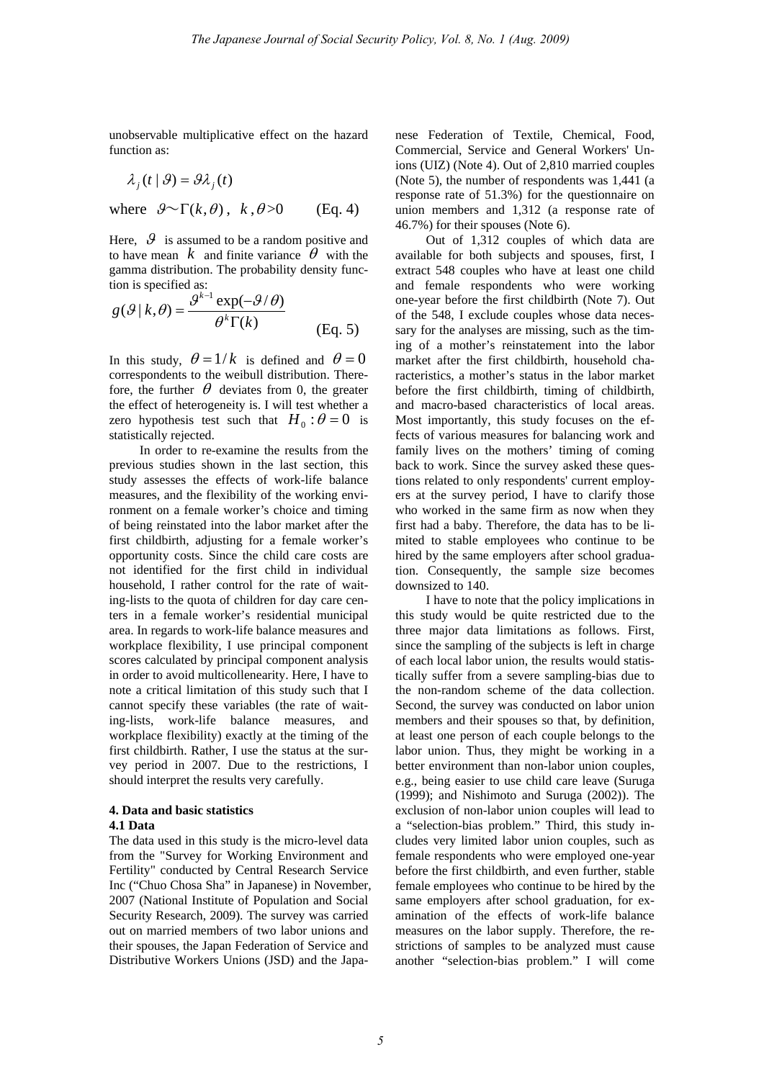unobservable multiplicative effect on the hazard function as:

$$
\lambda_j(t \mid \mathcal{G}) = \mathcal{G} \lambda_j(t)
$$

where  $\mathcal{G}^{\sim}\Gamma(k,\theta)$ ,  $k, \theta >0$  (Eq. 4)

Here,  $\vartheta$  is assumed to be a random positive and to have mean  $k$  and finite variance  $\theta$  with the gamma distribution. The probability density function is specified as:

$$
g(\mathcal{G} | k, \theta) = \frac{\mathcal{G}^{k-1} \exp(-\mathcal{G}/\theta)}{\theta^k \Gamma(k)}
$$
(Eq. 5)

In this study,  $\theta = 1/k$  is defined and  $\theta = 0$ correspondents to the weibull distribution. Therefore, the further  $\theta$  deviates from 0, the greater the effect of heterogeneity is. I will test whether a zero hypothesis test such that  $H_0: \theta = 0$  is statistically rejected.

In order to re-examine the results from the previous studies shown in the last section, this study assesses the effects of work-life balance measures, and the flexibility of the working environment on a female worker's choice and timing of being reinstated into the labor market after the first childbirth, adjusting for a female worker's opportunity costs. Since the child care costs are not identified for the first child in individual household, I rather control for the rate of waiting-lists to the quota of children for day care centers in a female worker's residential municipal area. In regards to work-life balance measures and workplace flexibility, I use principal component scores calculated by principal component analysis in order to avoid multicollenearity. Here, I have to note a critical limitation of this study such that I cannot specify these variables (the rate of waiting-lists, work-life balance measures, and workplace flexibility) exactly at the timing of the first childbirth. Rather, I use the status at the survey period in 2007. Due to the restrictions, I should interpret the results very carefully.

# **4. Data and basic statistics**

## **4.1 Data**

The data used in this study is the micro-level data from the "Survey for Working Environment and Fertility" conducted by Central Research Service Inc ("Chuo Chosa Sha" in Japanese) in November, 2007 (National Institute of Population and Social Security Research, 2009). The survey was carried out on married members of two labor unions and their spouses, the Japan Federation of Service and Distributive Workers Unions (JSD) and the Japanese Federation of Textile, Chemical, Food, Commercial, Service and General Workers' Unions (UIZ) (Note 4). Out of 2,810 married couples (Note 5), the number of respondents was 1,441 (a response rate of 51.3%) for the questionnaire on union members and 1,312 (a response rate of 46.7%) for their spouses (Note 6).

Out of 1,312 couples of which data are available for both subjects and spouses, first, I extract 548 couples who have at least one child and female respondents who were working one-year before the first childbirth (Note 7). Out of the 548, I exclude couples whose data necessary for the analyses are missing, such as the timing of a mother's reinstatement into the labor market after the first childbirth, household characteristics, a mother's status in the labor market before the first childbirth, timing of childbirth, and macro-based characteristics of local areas. Most importantly, this study focuses on the effects of various measures for balancing work and family lives on the mothers' timing of coming back to work. Since the survey asked these questions related to only respondents' current employers at the survey period, I have to clarify those who worked in the same firm as now when they first had a baby. Therefore, the data has to be limited to stable employees who continue to be hired by the same employers after school graduation. Consequently, the sample size becomes downsized to 140.

I have to note that the policy implications in this study would be quite restricted due to the three major data limitations as follows. First, since the sampling of the subjects is left in charge of each local labor union, the results would statistically suffer from a severe sampling-bias due to the non-random scheme of the data collection. Second, the survey was conducted on labor union members and their spouses so that, by definition, at least one person of each couple belongs to the labor union. Thus, they might be working in a better environment than non-labor union couples, e.g., being easier to use child care leave (Suruga (1999); and Nishimoto and Suruga (2002)). The exclusion of non-labor union couples will lead to a "selection-bias problem." Third, this study includes very limited labor union couples, such as female respondents who were employed one-year before the first childbirth, and even further, stable female employees who continue to be hired by the same employers after school graduation, for examination of the effects of work-life balance measures on the labor supply. Therefore, the restrictions of samples to be analyzed must cause another "selection-bias problem." I will come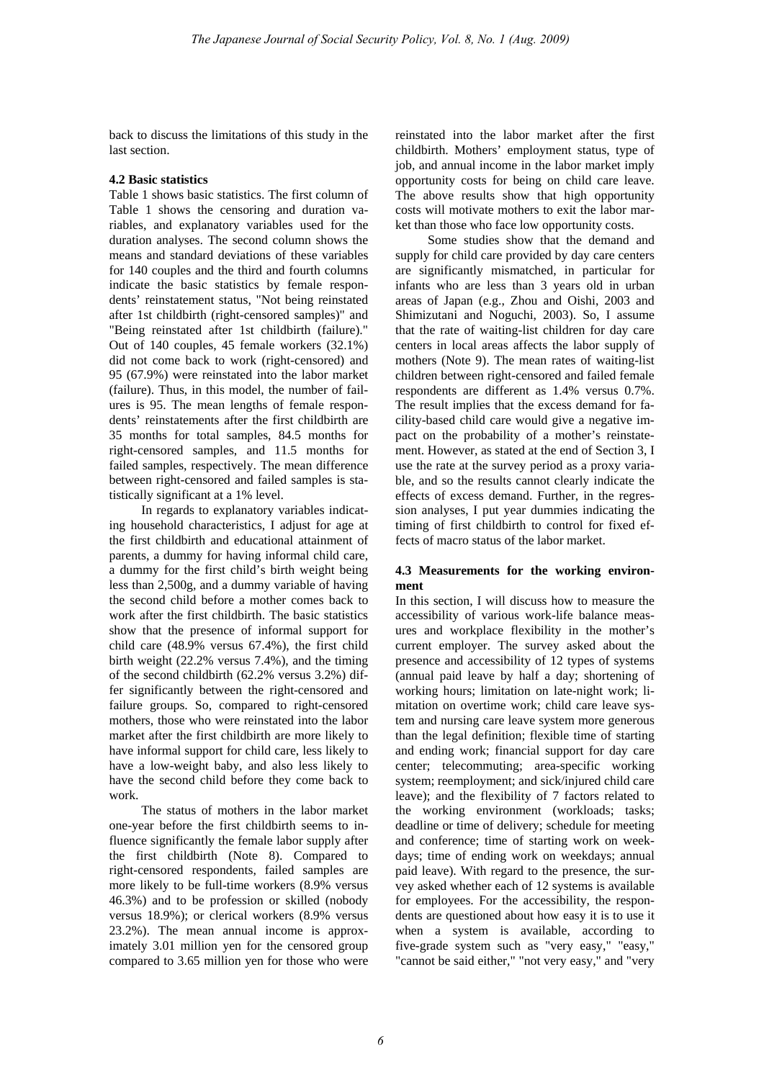back to discuss the limitations of this study in the last section.

#### **4.2 Basic statistics**

Table 1 shows basic statistics. The first column of Table 1 shows the censoring and duration variables, and explanatory variables used for the duration analyses. The second column shows the means and standard deviations of these variables for 140 couples and the third and fourth columns indicate the basic statistics by female respondents' reinstatement status, "Not being reinstated after 1st childbirth (right-censored samples)" and "Being reinstated after 1st childbirth (failure)." Out of 140 couples, 45 female workers (32.1%) did not come back to work (right-censored) and 95 (67.9%) were reinstated into the labor market (failure). Thus, in this model, the number of failures is 95. The mean lengths of female respondents' reinstatements after the first childbirth are 35 months for total samples, 84.5 months for right-censored samples, and 11.5 months for failed samples, respectively. The mean difference between right-censored and failed samples is statistically significant at a 1% level.

In regards to explanatory variables indicating household characteristics, I adjust for age at the first childbirth and educational attainment of parents, a dummy for having informal child care, a dummy for the first child's birth weight being less than 2,500g, and a dummy variable of having the second child before a mother comes back to work after the first childbirth. The basic statistics show that the presence of informal support for child care (48.9% versus 67.4%), the first child birth weight (22.2% versus 7.4%), and the timing of the second childbirth (62.2% versus 3.2%) differ significantly between the right-censored and failure groups. So, compared to right-censored mothers, those who were reinstated into the labor market after the first childbirth are more likely to have informal support for child care, less likely to have a low-weight baby, and also less likely to have the second child before they come back to work.

The status of mothers in the labor market one-year before the first childbirth seems to influence significantly the female labor supply after the first childbirth (Note 8). Compared to right-censored respondents, failed samples are more likely to be full-time workers (8.9% versus 46.3%) and to be profession or skilled (nobody versus 18.9%); or clerical workers (8.9% versus 23.2%). The mean annual income is approximately 3.01 million yen for the censored group compared to 3.65 million yen for those who were

reinstated into the labor market after the first childbirth. Mothers' employment status, type of job, and annual income in the labor market imply opportunity costs for being on child care leave. The above results show that high opportunity costs will motivate mothers to exit the labor market than those who face low opportunity costs.

Some studies show that the demand and supply for child care provided by day care centers are significantly mismatched, in particular for infants who are less than 3 years old in urban areas of Japan (e.g., Zhou and Oishi, 2003 and Shimizutani and Noguchi, 2003). So, I assume that the rate of waiting-list children for day care centers in local areas affects the labor supply of mothers (Note 9). The mean rates of waiting-list children between right-censored and failed female respondents are different as 1.4% versus 0.7%. The result implies that the excess demand for facility-based child care would give a negative impact on the probability of a mother's reinstatement. However, as stated at the end of Section 3, I use the rate at the survey period as a proxy variable, and so the results cannot clearly indicate the effects of excess demand. Further, in the regression analyses, I put year dummies indicating the timing of first childbirth to control for fixed effects of macro status of the labor market.

## **4.3 Measurements for the working environment**

In this section, I will discuss how to measure the accessibility of various work-life balance measures and workplace flexibility in the mother's current employer. The survey asked about the presence and accessibility of 12 types of systems (annual paid leave by half a day; shortening of working hours; limitation on late-night work; limitation on overtime work; child care leave system and nursing care leave system more generous than the legal definition; flexible time of starting and ending work; financial support for day care center; telecommuting; area-specific working system; reemployment; and sick/injured child care leave); and the flexibility of 7 factors related to the working environment (workloads; tasks; deadline or time of delivery; schedule for meeting and conference; time of starting work on weekdays; time of ending work on weekdays; annual paid leave). With regard to the presence, the survey asked whether each of 12 systems is available for employees. For the accessibility, the respondents are questioned about how easy it is to use it when a system is available, according to five-grade system such as "very easy," "easy," "cannot be said either," "not very easy," and "very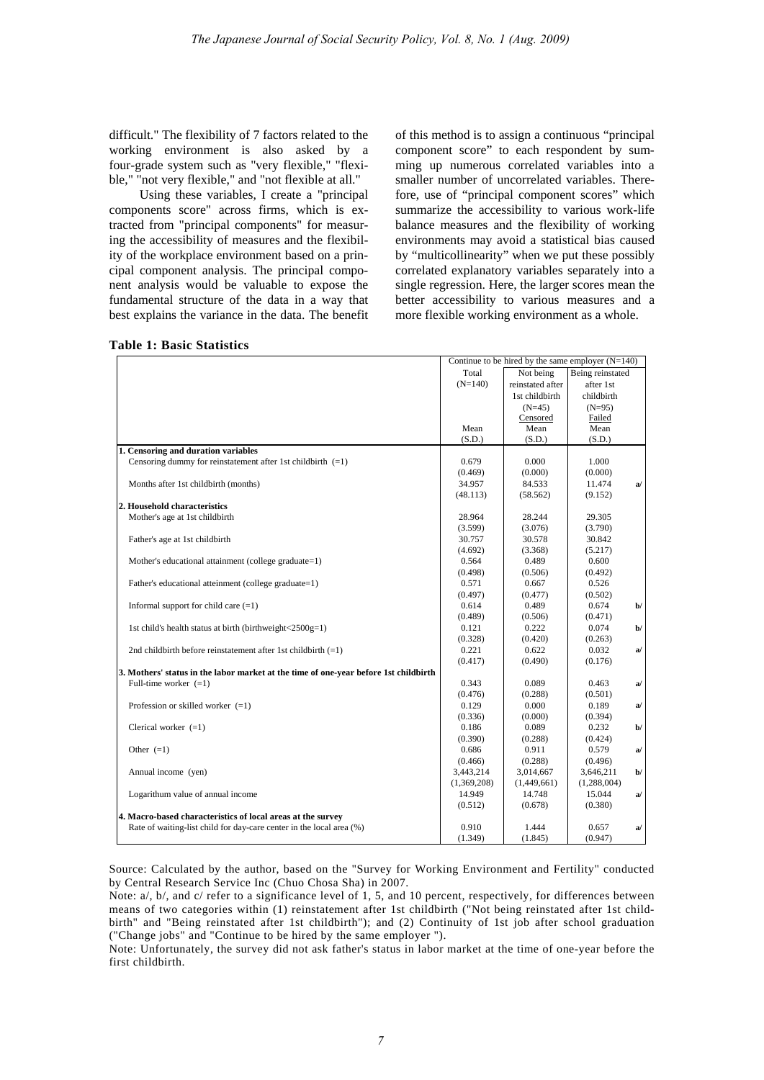difficult." The flexibility of 7 factors related to the working environment is also asked by a four-grade system such as "very flexible," "flexible," "not very flexible," and "not flexible at all."

Using these variables, I create a "principal components score" across firms, which is extracted from "principal components" for measuring the accessibility of measures and the flexibility of the workplace environment based on a principal component analysis. The principal component analysis would be valuable to expose the fundamental structure of the data in a way that best explains the variance in the data. The benefit of this method is to assign a continuous "principal component score" to each respondent by summing up numerous correlated variables into a smaller number of uncorrelated variables. Therefore, use of "principal component scores" which summarize the accessibility to various work-life balance measures and the flexibility of working environments may avoid a statistical bias caused by "multicollinearity" when we put these possibly correlated explanatory variables separately into a single regression. Here, the larger scores mean the better accessibility to various measures and a more flexible working environment as a whole.

|                                                                                      | Continue to be hired by the same employer $(N=140)$ |                               |             |               |
|--------------------------------------------------------------------------------------|-----------------------------------------------------|-------------------------------|-------------|---------------|
|                                                                                      | Total                                               | Not being<br>Being reinstated |             |               |
|                                                                                      | $(N=140)$                                           | reinstated after              | after 1st   |               |
|                                                                                      |                                                     | 1st childbirth                | childbirth  |               |
|                                                                                      |                                                     | $(N=45)$                      | $(N=95)$    |               |
|                                                                                      |                                                     | Censored                      | Failed      |               |
|                                                                                      | Mean                                                | Mean                          | Mean        |               |
|                                                                                      | (S.D.)                                              | (S.D.)                        | (S.D.)      |               |
| 1. Censoring and duration variables                                                  |                                                     |                               |             |               |
| Censoring dummy for reinstatement after 1st childbirth $(=1)$                        | 0.679                                               | 0.000                         | 1.000       |               |
|                                                                                      | (0.469)                                             | (0.000)                       | (0.000)     |               |
| Months after 1st childbirth (months)                                                 | 34.957                                              | 84.533                        | 11.474      | a/            |
|                                                                                      | (48.113)                                            | (58.562)                      | (9.152)     |               |
| 2. Household characteristics                                                         |                                                     |                               |             |               |
| Mother's age at 1st childbirth                                                       | 28.964                                              | 28.244                        | 29.305      |               |
|                                                                                      | (3.599)                                             | (3.076)                       | (3.790)     |               |
| Father's age at 1st childbirth                                                       | 30.757                                              | 30.578                        | 30.842      |               |
|                                                                                      | (4.692)                                             | (3.368)                       | (5.217)     |               |
| Mother's educational attainment (college graduate=1)                                 | 0.564                                               | 0.489                         | 0.600       |               |
|                                                                                      | (0.498)                                             | (0.506)                       | (0.492)     |               |
| Father's educational atteinment (college graduate=1)                                 | 0.571                                               | 0.667                         | 0.526       |               |
|                                                                                      | (0.497)                                             | (0.477)                       | (0.502)     |               |
| Informal support for child care $(=1)$                                               | 0.614                                               | 0.489                         | 0.674       | $\mathbf{b}$  |
|                                                                                      | (0.489)                                             | (0.506)                       | (0.471)     |               |
| 1st child's health status at birth (birthweight<2500g=1)                             | 0.121                                               | 0.222                         | 0.074       | $\mathbf{b}/$ |
|                                                                                      | (0.328)                                             | (0.420)                       | (0.263)     |               |
| 2nd childbirth before reinstatement after 1st childbirth $(=1)$                      | 0.221                                               | 0.622                         | 0.032       | a             |
|                                                                                      | (0.417)                                             | (0.490)                       | (0.176)     |               |
| 3. Mothers' status in the labor market at the time of one-year before 1st childbirth |                                                     |                               |             |               |
| Full-time worker $(=1)$                                                              | 0.343                                               | 0.089                         | 0.463       | a             |
|                                                                                      | (0.476)                                             | (0.288)                       | (0.501)     |               |
| Profession or skilled worker $(=1)$                                                  | 0.129                                               | 0.000                         | 0.189       | a/            |
|                                                                                      | (0.336)                                             | (0.000)                       | (0.394)     |               |
| Clerical worker $(=1)$                                                               | 0.186                                               | 0.089                         | 0.232       | $\mathbf{b}$  |
|                                                                                      | (0.390)                                             | (0.288)                       | (0.424)     |               |
| Other $(=1)$                                                                         | 0.686                                               | 0.911                         | 0.579       | a             |
|                                                                                      | (0.466)                                             | (0.288)                       | (0.496)     |               |
| Annual income (yen)                                                                  | 3,443,214                                           | 3,014,667                     | 3,646,211   | $b$           |
|                                                                                      | (1,369,208)                                         | (1,449,661)                   | (1,288,004) |               |
| Logarithum value of annual income                                                    | 14.949                                              | 14.748                        | 15.044      | a             |
|                                                                                      | (0.512)                                             | (0.678)                       | (0.380)     |               |
| 4. Macro-based characteristics of local areas at the survey                          |                                                     |                               |             |               |
| Rate of waiting-list child for day-care center in the local area (%)                 | 0.910                                               | 1.444                         | 0.657       | a             |
|                                                                                      | (1.349)                                             | (1.845)                       | (0.947)     |               |

**Table 1: Basic Statistics** 

Source: Calculated by the author, based on the "Survey for Working Environment and Fertility" conducted by Central Research Service Inc (Chuo Chosa Sha) in 2007.

Note: a/, b/, and c/ refer to a significance level of 1, 5, and 10 percent, respectively, for differences between means of two categories within (1) reinstatement after 1st childbirth ("Not being reinstated after 1st childbirth" and "Being reinstated after 1st childbirth"); and (2) Continuity of 1st job after school graduation ("Change jobs" and "Continue to be hired by the same employer ").

Note: Unfortunately, the survey did not ask father's status in labor market at the time of one-year before the first childbirth.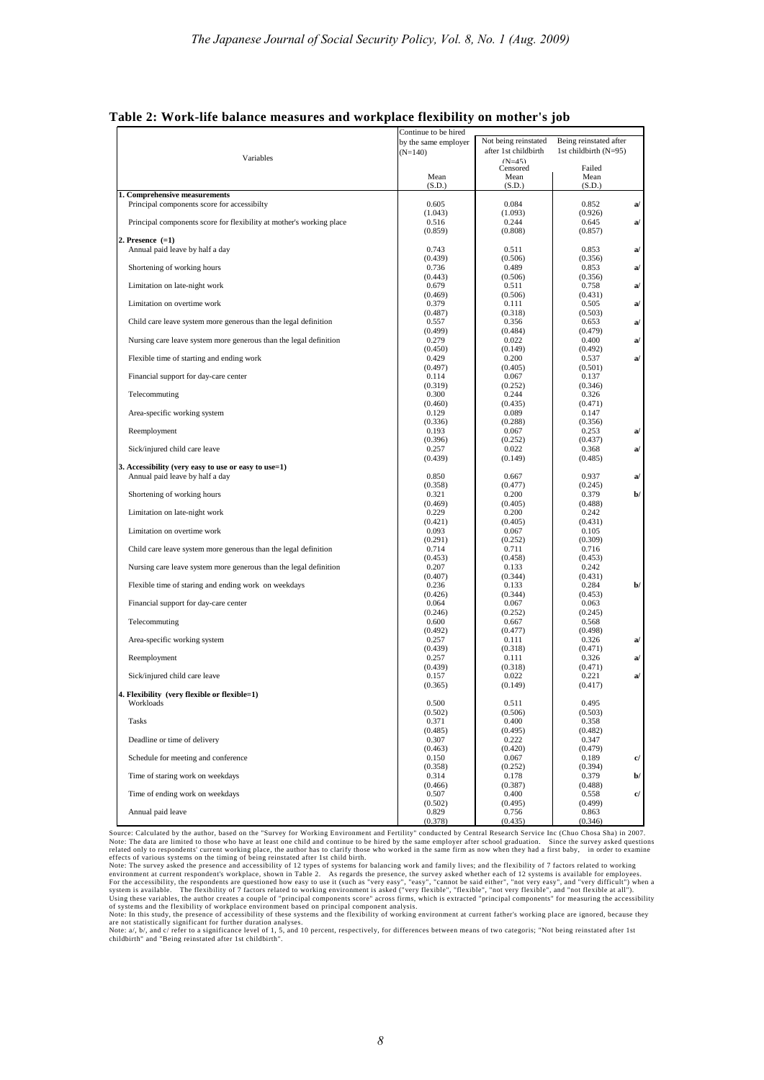|                                                                      | Continue to be hired |                      |                         |
|----------------------------------------------------------------------|----------------------|----------------------|-------------------------|
|                                                                      | by the same employer | Not being reinstated | Being reinstated after  |
|                                                                      | $(N=140)$            | after 1st childbirth | 1st childbirth $(N=95)$ |
| Variables                                                            |                      | $(N=45)$             |                         |
|                                                                      |                      | Censored             | Failed                  |
|                                                                      | Mean                 | Mean                 | Mean                    |
|                                                                      | (S.D.)               | (S.D.)               | (S.D.)                  |
| 1. Comprehensive measurements                                        |                      |                      |                         |
| Principal components score for accessibilty                          | 0.605                | 0.084                | 0.852<br>a/             |
|                                                                      | (1.043)              | (1.093)              | (0.926)                 |
| Principal components score for flexibility at mother's working place | 0.516                | 0.244                | 0.645<br>a/             |
|                                                                      | (0.859)              | (0.808)              | (0.857)                 |
| 2. Presence $(=1)$                                                   |                      |                      |                         |
| Annual paid leave by half a day                                      | 0.743                | 0.511                | 0.853<br>a/             |
|                                                                      | (0.439)              | (0.506)              | (0.356)                 |
| Shortening of working hours                                          | 0.736                | 0.489                | a/<br>0.853             |
|                                                                      | (0.443)              | (0.506)              | (0.356)                 |
| Limitation on late-night work                                        | 0.679                | 0.511                | a/<br>0.758             |
|                                                                      | (0.469)              | (0.506)              | (0.431)                 |
| Limitation on overtime work                                          | 0.379                | 0.111                | 0.505<br>a              |
|                                                                      | (0.487)              | (0.318)              | (0.503)                 |
| Child care leave system more generous than the legal definition      | 0.557                | 0.356                | 0.653<br>a/             |
|                                                                      | (0.499)              | (0.484)              | (0.479)                 |
| Nursing care leave system more generous than the legal definition    | 0.279<br>(0.450)     | 0.022<br>(0.149)     | a/<br>0.400<br>(0.492)  |
| Flexible time of starting and ending work                            |                      | 0.200                | a/                      |
|                                                                      | 0.429<br>(0.497)     | (0.405)              | 0.537<br>(0.501)        |
| Financial support for day-care center                                | 0.114                | 0.067                | 0.137                   |
|                                                                      | (0.319)              | (0.252)              | (0.346)                 |
| Telecommuting                                                        | 0.300                | 0.244                | 0.326                   |
|                                                                      | (0.460)              | (0.435)              | (0.471)                 |
| Area-specific working system                                         | 0.129                | 0.089                | 0.147                   |
|                                                                      | (0.336)              | (0.288)              | (0.356)                 |
| Reemployment                                                         | 0.193                | 0.067                | 0.253<br>a/             |
|                                                                      | (0.396)              | (0.252)              | (0.437)                 |
| Sick/injured child care leave                                        | 0.257                | 0.022                | 0.368<br>a/             |
|                                                                      | (0.439)              | (0.149)              | (0.485)                 |
| 3. Accessibility (very easy to use or easy to use=1)                 |                      |                      |                         |
| Annual paid leave by half a day                                      | 0.850                | 0.667                | 0.937<br>a/             |
|                                                                      | (0.358)              | (0.477)              | (0.245)                 |
| Shortening of working hours                                          | 0.321                | 0.200                | $\mathbf{b}$<br>0.379   |
|                                                                      | (0.469)              | (0.405)              | (0.488)                 |
| Limitation on late-night work                                        | 0.229                | 0.200                | 0.242                   |
|                                                                      | (0.421)              | (0.405)              | (0.431)                 |
| Limitation on overtime work                                          | 0.093                | 0.067                | 0.105                   |
|                                                                      | (0.291)              | (0.252)              | (0.309)                 |
| Child care leave system more generous than the legal definition      | 0.714                | 0.711                | 0.716                   |
|                                                                      | (0.453)              | (0.458)              | (0.453)                 |
| Nursing care leave system more generous than the legal definition    | 0.207                | 0.133                | 0.242                   |
|                                                                      | (0.407)              | (0.344)              | (0.431)                 |
| Flexible time of staring and ending work on weekdays                 | 0.236                | 0.133                | 0.284<br>b/             |
|                                                                      | (0.426)              | (0.344)              | (0.453)                 |
| Financial support for day-care center                                | 0.064                | 0.067                | 0.063                   |
|                                                                      | (0.246)              | (0.252)              | (0.245)                 |
| Telecommuting                                                        | 0.600                | 0.667                | 0.568                   |
|                                                                      | (0.492)              | (0.477)              | (0.498)                 |
| Area-specific working system                                         | 0.257                | 0.111                | 0.326<br>a/             |
|                                                                      | (0.439)              | (0.318)              | (0.471)                 |
| Reemployment                                                         | 0.257                | 0.111                | a<br>0.326              |
|                                                                      | (0.439)              | (0.318)              | (0.471)                 |
| Sick/injured child care leave                                        | 0.157                | 0.022                | a/<br>0.221             |
|                                                                      | (0.365)              | (0.149)              | (0.417)                 |
| 4. Flexibility (very flexible or flexible=1)                         |                      |                      |                         |
| Workloads                                                            | 0.500                | 0.511                | 0.495                   |
|                                                                      | (0.502)              | (0.506)              | (0.503)                 |
| <b>Tasks</b>                                                         | 0.371                | 0.400                | 0.358                   |
|                                                                      | (0.485)              | (0.495)              | (0.482)                 |
| Deadline or time of delivery                                         | 0.307                | 0.222                | 0.347                   |
| Schedule for meeting and conference                                  | (0.463)              | (0.420)              | (0.479)                 |
|                                                                      | 0.150<br>(0.358)     | 0.067<br>(0.252)     | c/<br>0.189<br>(0.394)  |
| Time of staring work on weekdays                                     | 0.314                | 0.178                | 0.379<br>$\mathbf{b}$   |
|                                                                      | (0.466)              | (0.387)              | (0.488)                 |
| Time of ending work on weekdays                                      | 0.507                | 0.400                | c/<br>0.558             |
|                                                                      | (0.502)              | (0.495)              | (0.499)                 |
| Annual paid leave                                                    | 0.829                | 0.756                | 0.863                   |
|                                                                      | (0.378)              | (0.435)              | (0.346)                 |

**Table 2: Work-life balance measures and workplace flexibility on mother's job** 

Source: Calculated by the author, based on the "Survey for Working Environment and Fertility" conducted by Central Research Service Inc (Chuo Chosa Sha) in 2007.<br>Note: The data are limited to those who have at least one ch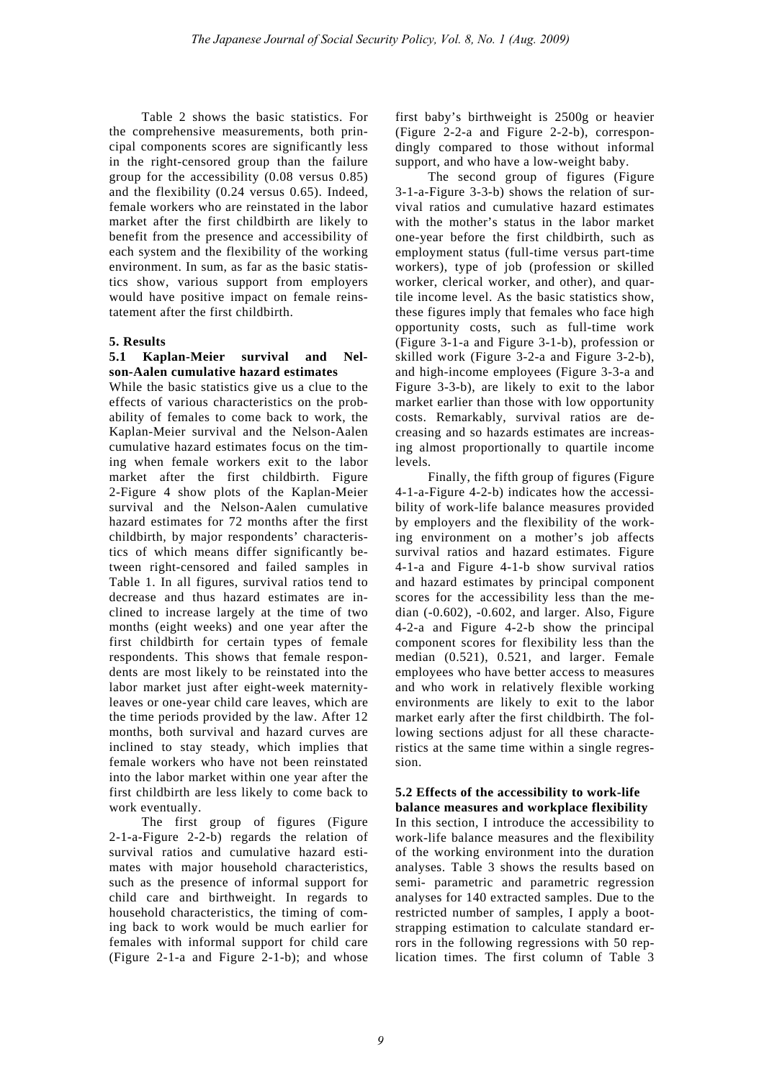Table 2 shows the basic statistics. For the comprehensive measurements, both principal components scores are significantly less in the right-censored group than the failure group for the accessibility (0.08 versus 0.85) and the flexibility (0.24 versus 0.65). Indeed, female workers who are reinstated in the labor market after the first childbirth are likely to benefit from the presence and accessibility of each system and the flexibility of the working environment. In sum, as far as the basic statistics show, various support from employers would have positive impact on female reinstatement after the first childbirth.

#### **5. Results**

#### **5.1 Kaplan-Meier survival and Nelson-Aalen cumulative hazard estimates**

While the basic statistics give us a clue to the effects of various characteristics on the probability of females to come back to work, the Kaplan-Meier survival and the Nelson-Aalen cumulative hazard estimates focus on the timing when female workers exit to the labor market after the first childbirth. Figure 2-Figure 4 show plots of the Kaplan-Meier survival and the Nelson-Aalen cumulative hazard estimates for 72 months after the first childbirth, by major respondents' characteristics of which means differ significantly between right-censored and failed samples in Table 1. In all figures, survival ratios tend to decrease and thus hazard estimates are inclined to increase largely at the time of two months (eight weeks) and one year after the first childbirth for certain types of female respondents. This shows that female respondents are most likely to be reinstated into the labor market just after eight-week maternityleaves or one-year child care leaves, which are the time periods provided by the law. After 12 months, both survival and hazard curves are inclined to stay steady, which implies that female workers who have not been reinstated into the labor market within one year after the first childbirth are less likely to come back to work eventually.

The first group of figures (Figure 2-1-a-Figure 2-2-b) regards the relation of survival ratios and cumulative hazard estimates with major household characteristics, such as the presence of informal support for child care and birthweight. In regards to household characteristics, the timing of coming back to work would be much earlier for females with informal support for child care (Figure 2-1-a and Figure 2-1-b); and whose

first baby's birthweight is 2500g or heavier (Figure 2-2-a and Figure 2-2-b), correspondingly compared to those without informal support, and who have a low-weight baby.

The second group of figures (Figure 3-1-a-Figure 3-3-b) shows the relation of survival ratios and cumulative hazard estimates with the mother's status in the labor market one-year before the first childbirth, such as employment status (full-time versus part-time workers), type of job (profession or skilled worker, clerical worker, and other), and quartile income level. As the basic statistics show, these figures imply that females who face high opportunity costs, such as full-time work (Figure 3-1-a and Figure 3-1-b), profession or skilled work (Figure 3-2-a and Figure 3-2-b), and high-income employees (Figure 3-3-a and Figure 3-3-b), are likely to exit to the labor market earlier than those with low opportunity costs. Remarkably, survival ratios are decreasing and so hazards estimates are increasing almost proportionally to quartile income levels.

Finally, the fifth group of figures (Figure 4-1-a-Figure 4-2-b) indicates how the accessibility of work-life balance measures provided by employers and the flexibility of the working environment on a mother's job affects survival ratios and hazard estimates. Figure 4-1-a and Figure 4-1-b show survival ratios and hazard estimates by principal component scores for the accessibility less than the median (-0.602), -0.602, and larger. Also, Figure 4-2-a and Figure 4-2-b show the principal component scores for flexibility less than the median (0.521), 0.521, and larger. Female employees who have better access to measures and who work in relatively flexible working environments are likely to exit to the labor market early after the first childbirth. The following sections adjust for all these characteristics at the same time within a single regression.

#### **5.2 Effects of the accessibility to work-life balance measures and workplace flexibility**

In this section, I introduce the accessibility to work-life balance measures and the flexibility of the working environment into the duration analyses. Table 3 shows the results based on semi- parametric and parametric regression analyses for 140 extracted samples. Due to the restricted number of samples, I apply a bootstrapping estimation to calculate standard errors in the following regressions with 50 replication times. The first column of Table 3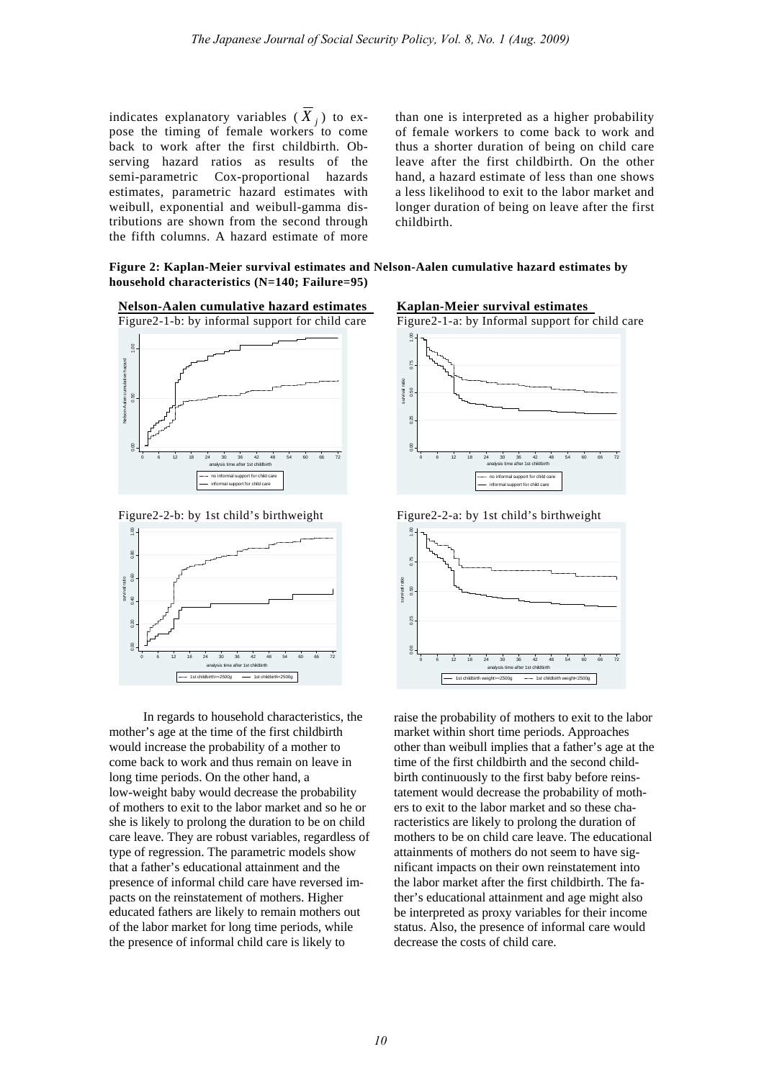indicates explanatory variables  $(X_i)$  to expose the timing of female workers to come back to work after the first childbirth. Observing hazard ratios as results of the semi-parametric Cox-proportional hazards estimates, parametric hazard estimates with weibull, exponential and weibull-gamma distributions are shown from the second through the fifth columns. A hazard estimate of more

than one is interpreted as a higher probability of female workers to come back to work and thus a shorter duration of being on child care leave after the first childbirth. On the other hand, a hazard estimate of less than one shows a less likelihood to exit to the labor market and longer duration of being on leave after the first childbirth.

**Figure 2: Kaplan-Meier survival estimates and Nelson-Aalen cumulative hazard estimates by household characteristics (N=140; Failure=95)**



Figure2-2-b: by 1st child's birthweight



In regards to household characteristics, the mother's age at the time of the first childbirth would increase the probability of a mother to come back to work and thus remain on leave in long time periods. On the other hand, a low-weight baby would decrease the probability of mothers to exit to the labor market and so he or she is likely to prolong the duration to be on child care leave. They are robust variables, regardless of type of regression. The parametric models show that a father's educational attainment and the presence of informal child care have reversed impacts on the reinstatement of mothers. Higher educated fathers are likely to remain mothers out of the labor market for long time periods, while the presence of informal child care is likely to

**Kaplan-Meier survival estimates** 



Figure2-2-a: by 1st child's birthweight



raise the probability of mothers to exit to the labor market within short time periods. Approaches other than weibull implies that a father's age at the time of the first childbirth and the second childbirth continuously to the first baby before reinstatement would decrease the probability of mothers to exit to the labor market and so these characteristics are likely to prolong the duration of mothers to be on child care leave. The educational attainments of mothers do not seem to have significant impacts on their own reinstatement into the labor market after the first childbirth. The father's educational attainment and age might also be interpreted as proxy variables for their income status. Also, the presence of informal care would decrease the costs of child care.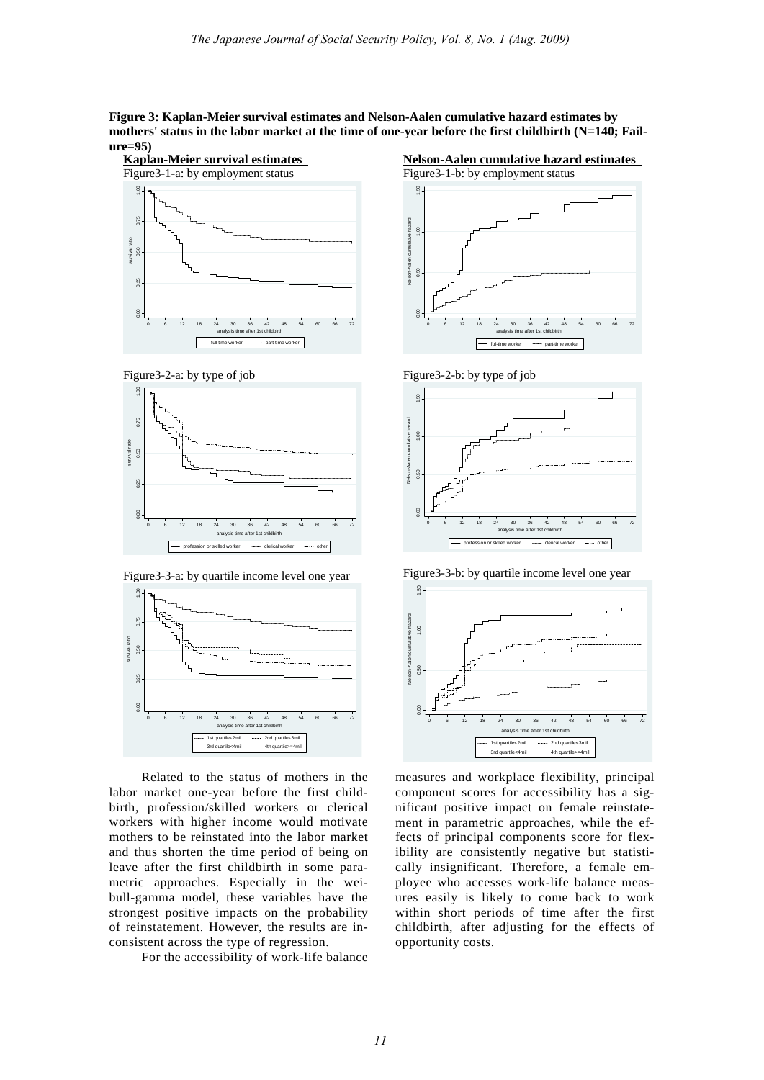**Figure 3: Kaplan-Meier survival estimates and Nelson-Aalen cumulative hazard estimates by mothers' status in the labor market at the time of one-year before the first childbirth (N=140; Failure=95)** 



Figure3-2-a: by type of job



Figure3-3-a: by quartile income level one year



Related to the status of mothers in the labor market one-year before the first childbirth, profession/skilled workers or clerical workers with higher income would motivate mothers to be reinstated into the labor market and thus shorten the time period of being on leave after the first childbirth in some parametric approaches. Especially in the weibull-gamma model, these variables have the strongest positive impacts on the probability of reinstatement. However, the results are inconsistent across the type of regression.

For the accessibility of work-life balance



Figure3-1-b: by employment status  $\underline{\mathbb{S}}$  . 0.00 0.50 1.00 1.50 Nelson-Aalen cumulative hazard  $1.00$  $_{0.50}$ 

0 6 12 18 24 30 36 42 48 54 60 66 72 analysis time after 1st childbirth full-time worker --------- part-time worker





Figure3-3-b: by quartile income level one year



measures and workplace flexibility, principal component scores for accessibility has a significant positive impact on female reinstatement in parametric approaches, while the effects of principal components score for flexibility are consistently negative but statistically insignificant. Therefore, a female employee who accesses work-life balance measures easily is likely to come back to work within short periods of time after the first childbirth, after adjusting for the effects of opportunity costs.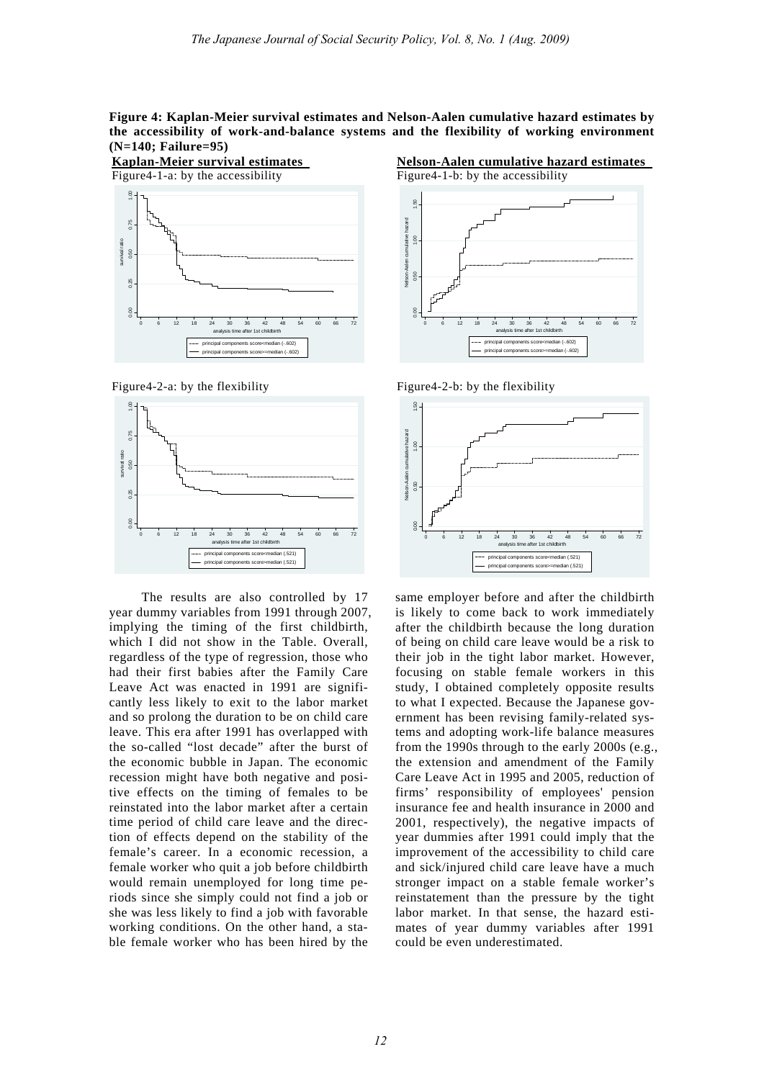**Figure 4: Kaplan-Meier survival estimates and Nelson-Aalen cumulative hazard estimates by the accessibility of work-and-balance systems and the flexibility of working environment (N=140; Failure=95)** 



Figure4-2-a: by the flexibility



The results are also controlled by 17 year dummy variables from 1991 through 2007, implying the timing of the first childbirth, which I did not show in the Table. Overall, regardless of the type of regression, those who had their first babies after the Family Care Leave Act was enacted in 1991 are significantly less likely to exit to the labor market and so prolong the duration to be on child care leave. This era after 1991 has overlapped with the so-called "lost decade" after the burst of the economic bubble in Japan. The economic recession might have both negative and positive effects on the timing of females to be reinstated into the labor market after a certain time period of child care leave and the direction of effects depend on the stability of the female's career. In a economic recession, a female worker who quit a job before childbirth would remain unemployed for long time periods since she simply could not find a job or she was less likely to find a job with favorable working conditions. On the other hand, a stable female worker who has been hired by the

**Nelson-Aalen cumulative hazard estimates** 





Figure4-2-b: by the flexibility



same employer before and after the childbirth is likely to come back to work immediately after the childbirth because the long duration of being on child care leave would be a risk to their job in the tight labor market. However, focusing on stable female workers in this study, I obtained completely opposite results to what I expected. Because the Japanese government has been revising family-related systems and adopting work-life balance measures from the 1990s through to the early 2000s (e.g., the extension and amendment of the Family Care Leave Act in 1995 and 2005, reduction of firms' responsibility of employees' pension insurance fee and health insurance in 2000 and 2001, respectively), the negative impacts of year dummies after 1991 could imply that the improvement of the accessibility to child care and sick/injured child care leave have a much stronger impact on a stable female worker's reinstatement than the pressure by the tight labor market. In that sense, the hazard estimates of year dummy variables after 1991 could be even underestimated.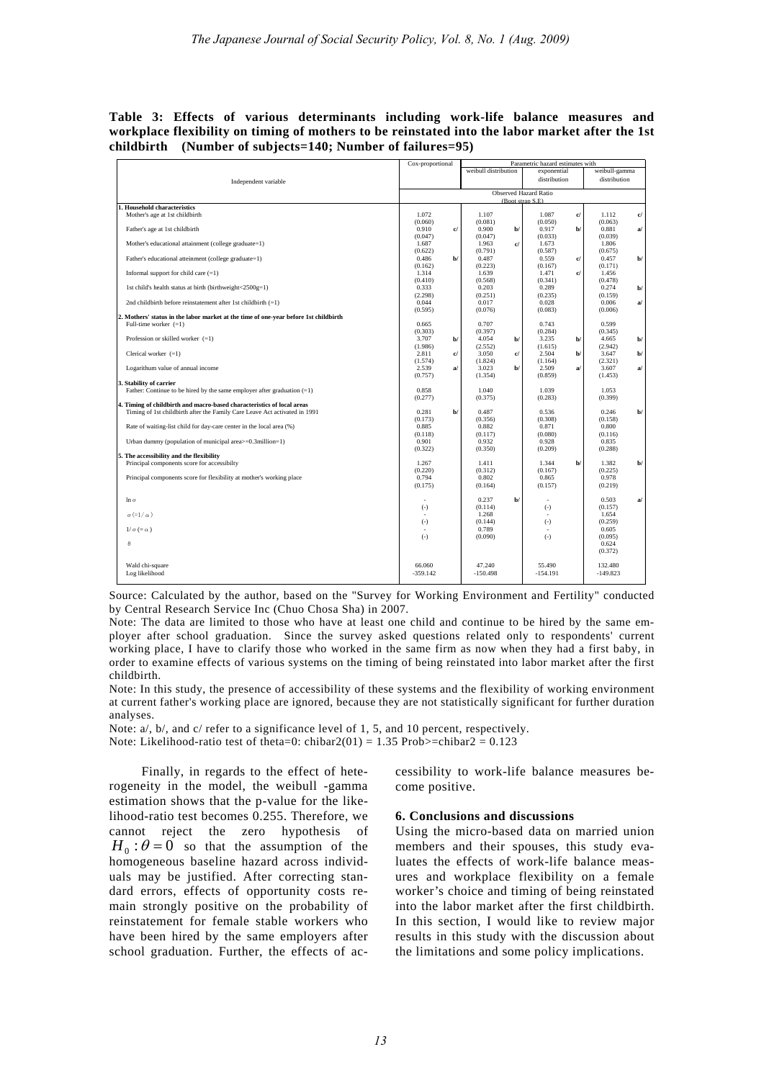**Table 3: Effects of various determinants including work-life balance measures and workplace flexibility on timing of mothers to be reinstated into the labor market after the 1st childbirth (Number of subjects=140; Number of failures=95)** 

|                                                                                      | Cox-proportional     | Parametric hazard estimates with           |                      |                                |  |  |  |
|--------------------------------------------------------------------------------------|----------------------|--------------------------------------------|----------------------|--------------------------------|--|--|--|
|                                                                                      |                      | weibull distribution                       | exponential          | weibull-gamma                  |  |  |  |
| Independent variable                                                                 |                      |                                            | distribution         | distribution                   |  |  |  |
|                                                                                      |                      |                                            |                      |                                |  |  |  |
|                                                                                      |                      | Observed Hazard Ratio<br>(Boot strap S.E). |                      |                                |  |  |  |
| 1. Household characteristics                                                         |                      |                                            |                      |                                |  |  |  |
| Mother's age at 1st childbirth                                                       | 1.072                | 1.107                                      | c/<br>1.087          | 1.112<br>c/                    |  |  |  |
|                                                                                      | (0.060)              | (0.081)                                    | (0.050)              | (0.063)                        |  |  |  |
| Father's age at 1st childbirth                                                       | 0.910                | 0.900<br>d<br>$\mathbf{b}$                 | 0.917<br>b/          | 0.881<br>a/                    |  |  |  |
|                                                                                      | (0.047)              | (0.047)                                    | (0.033)              | (0.039)                        |  |  |  |
| Mother's educational attainment (college graduate=1)                                 | 1.687                | c/<br>1.963                                | 1.673                | 1.806                          |  |  |  |
| Father's educational atteinment (college graduate=1)                                 | (0.622)<br>0.486     | (0.791)<br>$b$<br>0.487                    | (0.587)<br>0.559     | (0.675)<br>0.457               |  |  |  |
|                                                                                      | (0.162)              | (0.223)                                    | C<br>(0.167)         | $\mathbf{b}$<br>(0.171)        |  |  |  |
| Informal support for child care $(=1)$                                               | 1.314                | 1.639                                      | 1.471<br>c/          | 1.456                          |  |  |  |
|                                                                                      | (0.410)              | (0.568)                                    | (0.341)              | (0.478)                        |  |  |  |
| 1st child's health status at birth (birthweight<2500g=1)                             | 0.333                | 0.203                                      | 0.289                | 0.274<br>$b$                   |  |  |  |
|                                                                                      | (2.298)              | (0.251)                                    | (0.235)              | (0.159)                        |  |  |  |
| 2nd childbirth before reinstatement after 1st childbirth $(=1)$                      | 0.044                | 0.017                                      | 0.028                | 0.006<br>$\mathbf{a}^{\prime}$ |  |  |  |
|                                                                                      | (0.595)              | (0.076)                                    | (0.083)              | (0.006)                        |  |  |  |
| 2. Mothers' status in the labor market at the time of one-year before 1st childbirth |                      |                                            |                      |                                |  |  |  |
| Full-time worker $(=1)$                                                              | 0.665                | 0.707                                      | 0.743                | 0.599                          |  |  |  |
|                                                                                      | (0.303)              | (0.397)                                    | (0.284)              | (0.345)                        |  |  |  |
| Profession or skilled worker $(=1)$                                                  | 3.707                | $b$<br>4.054<br>$b$                        | 3.235<br>b/          | 4.665<br>$b$                   |  |  |  |
|                                                                                      | (1.986)              | (2.552)                                    | (1.615)              | (2.942)                        |  |  |  |
| Clerical worker $(=1)$                                                               | 2.811                | $\mathbf{c}$<br>3.050<br>c/                | 2.504<br>b/          | 3.647<br>$\mathbf{b}$          |  |  |  |
|                                                                                      | (1.574)              | (1.824)                                    | (1.164)              | (2.321)                        |  |  |  |
| Logarithum value of annual income                                                    | 2.539                | 3.023<br>a<br>$\mathbf{b}$                 | 2.509<br>a           | 3.607<br>a/                    |  |  |  |
| 3. Stability of carrier                                                              | (0.757)              | (1.354)                                    | (0.859)              | (1.453)                        |  |  |  |
| Father: Continue to be hired by the same employer after graduation $(=1)$            | 0.858                | 1.040                                      | 1.039                | 1.053                          |  |  |  |
|                                                                                      | (0.277)              | (0.375)                                    | (0.283)              | (0.399)                        |  |  |  |
| 4. Timing of childbirth and macro-based characteristics of local areas               |                      |                                            |                      |                                |  |  |  |
| Timing of 1st childbirth after the Family Care Leave Act activated in 1991           | 0.281                | $b$<br>0.487                               | 0.536                | 0.246<br>$b$                   |  |  |  |
|                                                                                      | (0.173)              | (0.356)                                    | (0.308)              | (0.158)                        |  |  |  |
| Rate of waiting-list child for day-care center in the local area (%)                 | 0.885                | 0.882                                      | 0.871                | 0.800                          |  |  |  |
|                                                                                      | (0.118)              | (0.117)                                    | (0.080)              | (0.116)                        |  |  |  |
| Urban dummy (population of municipal area>=0.3million=1)                             | 0.901                | 0.932                                      | 0.928                | 0.835                          |  |  |  |
|                                                                                      | (0.322)              | (0.350)                                    | (0.209)              | (0.288)                        |  |  |  |
| 5. The accessibility and the flexibility                                             |                      |                                            |                      |                                |  |  |  |
| Principal components score for accessibilty                                          | 1.267                | 1.411                                      | 1.344<br>b/          | 1.382<br>$b$                   |  |  |  |
| Principal components score for flexibility at mother's working place                 | (0.220)<br>0.794     | (0.312)<br>0.802                           | (0.167)<br>0.865     | (0.225)<br>0.978               |  |  |  |
|                                                                                      | (0.175)              | (0.164)                                    | (0.157)              | (0.219)                        |  |  |  |
|                                                                                      |                      |                                            |                      |                                |  |  |  |
| $\ln \sigma$                                                                         |                      | 0.237<br>$b$                               |                      | 0.503<br>a/                    |  |  |  |
|                                                                                      | $(-)$                | (0.114)                                    | $(-)$                | (0.157)                        |  |  |  |
| $\sigma$ (=1/ $\alpha$ )                                                             | $\sim$               | 1.268                                      |                      | 1.654                          |  |  |  |
|                                                                                      | $(-)$                | (0.144)                                    | $(-)$                | (0.259)                        |  |  |  |
| $1/\sigma (= \alpha)$                                                                | ٠                    | 0.789                                      |                      | 0.605                          |  |  |  |
|                                                                                      | $(-)$                | (0.090)                                    | $(-)$                | (0.095)                        |  |  |  |
| $\theta$                                                                             |                      |                                            |                      | 0.624                          |  |  |  |
|                                                                                      |                      |                                            |                      | (0.372)                        |  |  |  |
|                                                                                      |                      |                                            |                      |                                |  |  |  |
| Wald chi-square<br>Log likelihood                                                    | 66.060<br>$-359.142$ | 47.240<br>$-150.498$                       | 55.490<br>$-154.191$ | 132.480<br>$-149.823$          |  |  |  |
|                                                                                      |                      |                                            |                      |                                |  |  |  |
|                                                                                      |                      |                                            |                      |                                |  |  |  |

Source: Calculated by the author, based on the "Survey for Working Environment and Fertility" conducted by Central Research Service Inc (Chuo Chosa Sha) in 2007.

Note: The data are limited to those who have at least one child and continue to be hired by the same employer after school graduation. Since the survey asked questions related only to respondents' current working place, I have to clarify those who worked in the same firm as now when they had a first baby, in order to examine effects of various systems on the timing of being reinstated into labor market after the first childbirth.

Note: In this study, the presence of accessibility of these systems and the flexibility of working environment at current father's working place are ignored, because they are not statistically significant for further duration analyses.

Note: a/, b/, and c/ refer to a significance level of 1, 5, and 10 percent, respectively. Note: Likelihood-ratio test of theta=0: chibar2(01) = 1.35 Prob>=chibar2 = 0.123

Finally, in regards to the effect of heterogeneity in the model, the weibull -gamma estimation shows that the p-value for the likelihood-ratio test becomes 0.255. Therefore, we cannot reject the zero hypothesis of  $H_0: \theta = 0$  so that the assumption of the homogeneous baseline hazard across individuals may be justified. After correcting standard errors, effects of opportunity costs remain strongly positive on the probability of reinstatement for female stable workers who have been hired by the same employers after school graduation. Further, the effects of accessibility to work-life balance measures become positive.

#### **6. Conclusions and discussions**

Using the micro-based data on married union members and their spouses, this study evaluates the effects of work-life balance measures and workplace flexibility on a female worker's choice and timing of being reinstated into the labor market after the first childbirth. In this section, I would like to review major results in this study with the discussion about the limitations and some policy implications.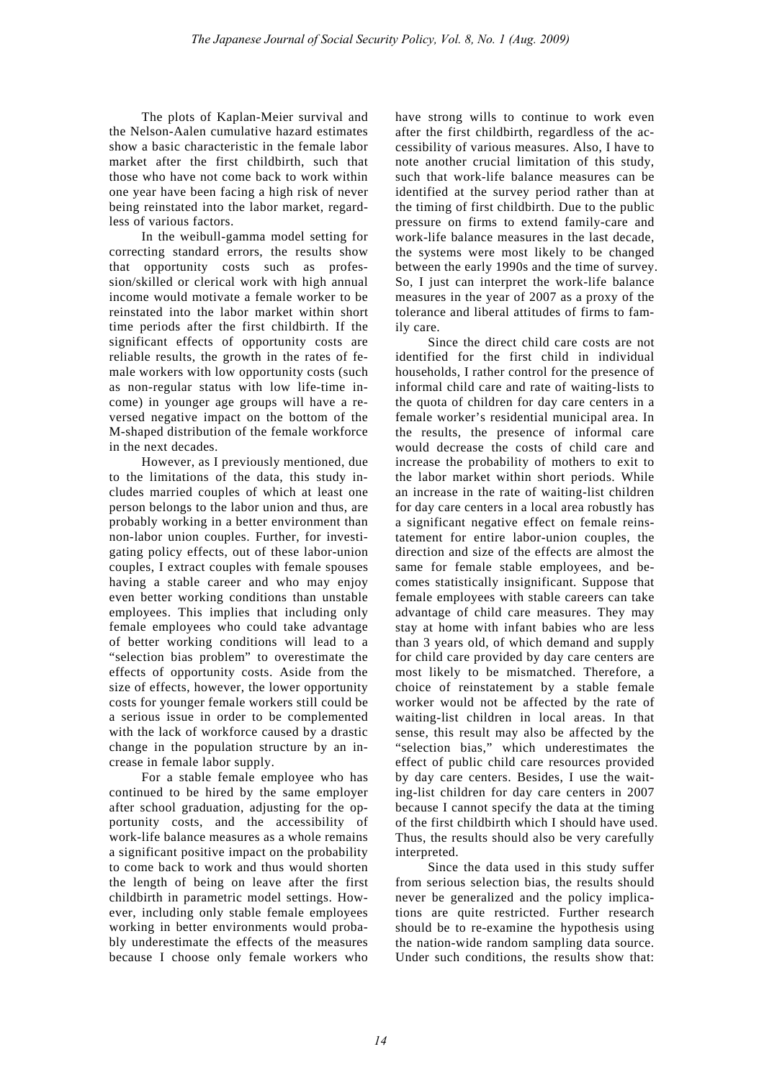The plots of Kaplan-Meier survival and the Nelson-Aalen cumulative hazard estimates show a basic characteristic in the female labor market after the first childbirth, such that those who have not come back to work within one year have been facing a high risk of never being reinstated into the labor market, regardless of various factors.

In the weibull-gamma model setting for correcting standard errors, the results show that opportunity costs such as profession/skilled or clerical work with high annual income would motivate a female worker to be reinstated into the labor market within short time periods after the first childbirth. If the significant effects of opportunity costs are reliable results, the growth in the rates of female workers with low opportunity costs (such as non-regular status with low life-time income) in younger age groups will have a reversed negative impact on the bottom of the M-shaped distribution of the female workforce in the next decades.

However, as I previously mentioned, due to the limitations of the data, this study includes married couples of which at least one person belongs to the labor union and thus, are probably working in a better environment than non-labor union couples. Further, for investigating policy effects, out of these labor-union couples, I extract couples with female spouses having a stable career and who may enjoy even better working conditions than unstable employees. This implies that including only female employees who could take advantage of better working conditions will lead to a "selection bias problem" to overestimate the effects of opportunity costs. Aside from the size of effects, however, the lower opportunity costs for younger female workers still could be a serious issue in order to be complemented with the lack of workforce caused by a drastic change in the population structure by an increase in female labor supply.

For a stable female employee who has continued to be hired by the same employer after school graduation, adjusting for the opportunity costs, and the accessibility of work-life balance measures as a whole remains a significant positive impact on the probability to come back to work and thus would shorten the length of being on leave after the first childbirth in parametric model settings. However, including only stable female employees working in better environments would probably underestimate the effects of the measures because I choose only female workers who have strong wills to continue to work even after the first childbirth, regardless of the accessibility of various measures. Also, I have to note another crucial limitation of this study, such that work-life balance measures can be identified at the survey period rather than at the timing of first childbirth. Due to the public pressure on firms to extend family-care and work-life balance measures in the last decade, the systems were most likely to be changed between the early 1990s and the time of survey. So, I just can interpret the work-life balance measures in the year of 2007 as a proxy of the tolerance and liberal attitudes of firms to family care.

Since the direct child care costs are not identified for the first child in individual households, I rather control for the presence of informal child care and rate of waiting-lists to the quota of children for day care centers in a female worker's residential municipal area. In the results, the presence of informal care would decrease the costs of child care and increase the probability of mothers to exit to the labor market within short periods. While an increase in the rate of waiting-list children for day care centers in a local area robustly has a significant negative effect on female reinstatement for entire labor-union couples, the direction and size of the effects are almost the same for female stable employees, and becomes statistically insignificant. Suppose that female employees with stable careers can take advantage of child care measures. They may stay at home with infant babies who are less than 3 years old, of which demand and supply for child care provided by day care centers are most likely to be mismatched. Therefore, a choice of reinstatement by a stable female worker would not be affected by the rate of waiting-list children in local areas. In that sense, this result may also be affected by the "selection bias," which underestimates the effect of public child care resources provided by day care centers. Besides, I use the waiting-list children for day care centers in 2007 because I cannot specify the data at the timing of the first childbirth which I should have used. Thus, the results should also be very carefully interpreted.

Since the data used in this study suffer from serious selection bias, the results should never be generalized and the policy implications are quite restricted. Further research should be to re-examine the hypothesis using the nation-wide random sampling data source. Under such conditions, the results show that: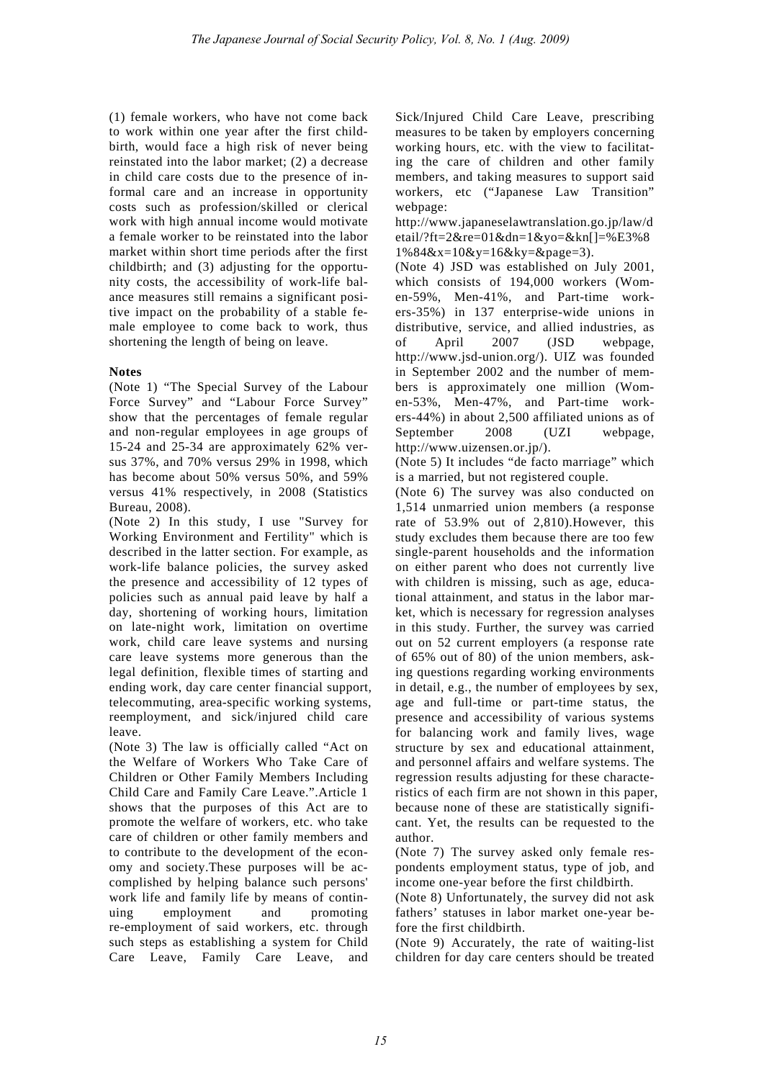(1) female workers, who have not come back to work within one year after the first childbirth, would face a high risk of never being reinstated into the labor market; (2) a decrease in child care costs due to the presence of informal care and an increase in opportunity costs such as profession/skilled or clerical work with high annual income would motivate a female worker to be reinstated into the labor market within short time periods after the first childbirth; and (3) adjusting for the opportunity costs, the accessibility of work-life balance measures still remains a significant positive impact on the probability of a stable female employee to come back to work, thus shortening the length of being on leave.

## **Notes**

(Note 1) "The Special Survey of the Labour Force Survey" and "Labour Force Survey" show that the percentages of female regular and non-regular employees in age groups of 15-24 and 25-34 are approximately 62% versus 37%, and 70% versus 29% in 1998, which has become about 50% versus 50%, and 59% versus 41% respectively, in 2008 (Statistics Bureau, 2008).

(Note 2) In this study, I use "Survey for Working Environment and Fertility" which is described in the latter section. For example, as work-life balance policies, the survey asked the presence and accessibility of 12 types of policies such as annual paid leave by half a day, shortening of working hours, limitation on late-night work, limitation on overtime work, child care leave systems and nursing care leave systems more generous than the legal definition, flexible times of starting and ending work, day care center financial support, telecommuting, area-specific working systems, reemployment, and sick/injured child care leave.

(Note 3) The law is officially called "Act on the Welfare of Workers Who Take Care of Children or Other Family Members Including Child Care and Family Care Leave.".Article 1 shows that the purposes of this Act are to promote the welfare of workers, etc. who take care of children or other family members and to contribute to the development of the economy and society.These purposes will be accomplished by helping balance such persons' work life and family life by means of continuing employment and promoting re-employment of said workers, etc. through such steps as establishing a system for Child Care Leave, Family Care Leave, and Sick/Injured Child Care Leave, prescribing measures to be taken by employers concerning working hours, etc. with the view to facilitating the care of children and other family members, and taking measures to support said workers, etc ("Japanese Law Transition" webpage:

http://www.japaneselawtranslation.go.jp/law/d etail/?ft=2&re=01&dn=1&yo=&kn[]=%E3%8  $1\%84&x=10&y=16&ky=6&page=3$ .

(Note 4) JSD was established on July 2001, which consists of 194,000 workers (Women-59%, Men-41%, and Part-time workers-35%) in 137 enterprise-wide unions in distributive, service, and allied industries, as of April 2007 (JSD webpage, http://www.jsd-union.org/). UIZ was founded in September 2002 and the number of members is approximately one million (Women-53%, Men-47%, and Part-time workers-44%) in about 2,500 affiliated unions as of September 2008 (UZI webpage, http://www.uizensen.or.jp/).

(Note 5) It includes "de facto marriage" which is a married, but not registered couple.

(Note 6) The survey was also conducted on 1,514 unmarried union members (a response rate of 53.9% out of 2,810).However, this study excludes them because there are too few single-parent households and the information on either parent who does not currently live with children is missing, such as age, educational attainment, and status in the labor market, which is necessary for regression analyses in this study. Further, the survey was carried out on 52 current employers (a response rate of 65% out of 80) of the union members, asking questions regarding working environments in detail, e.g., the number of employees by sex, age and full-time or part-time status, the presence and accessibility of various systems for balancing work and family lives, wage structure by sex and educational attainment, and personnel affairs and welfare systems. The regression results adjusting for these characteristics of each firm are not shown in this paper, because none of these are statistically significant. Yet, the results can be requested to the author.

(Note 7) The survey asked only female respondents employment status, type of job, and income one-year before the first childbirth.

(Note 8) Unfortunately, the survey did not ask fathers' statuses in labor market one-year before the first childbirth.

(Note 9) Accurately, the rate of waiting-list children for day care centers should be treated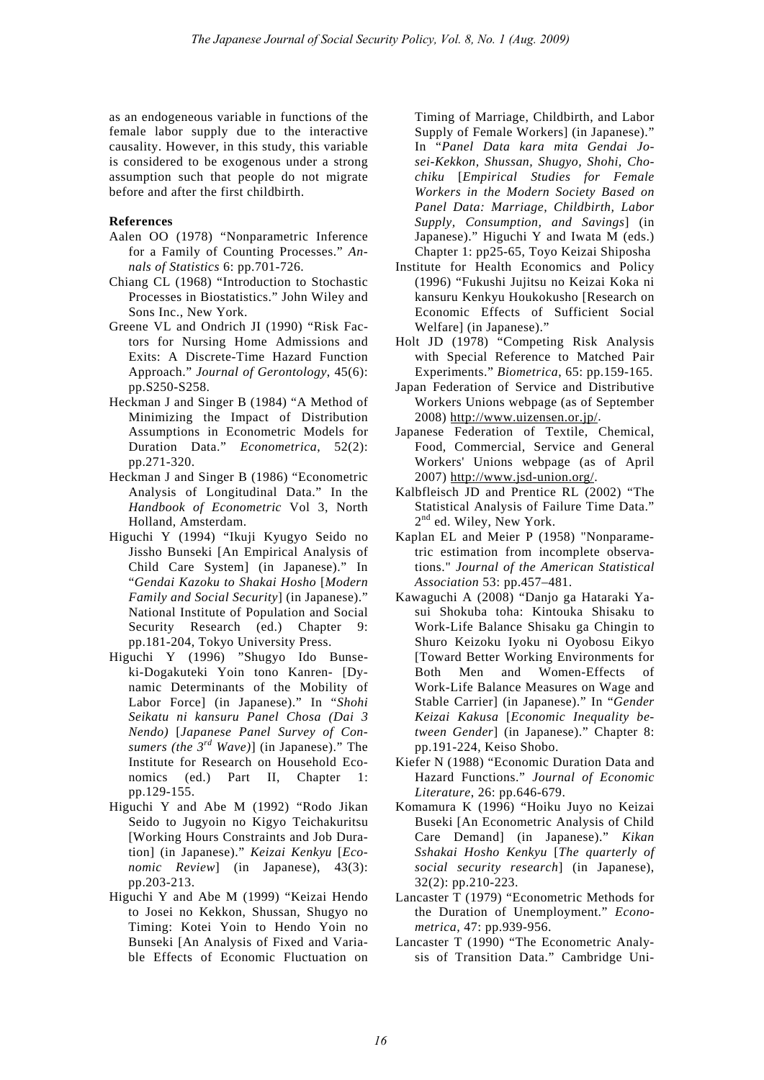as an endogeneous variable in functions of the female labor supply due to the interactive causality. However, in this study, this variable is considered to be exogenous under a strong assumption such that people do not migrate before and after the first childbirth.

#### **References**

- Aalen OO (1978) "Nonparametric Inference for a Family of Counting Processes." *Annals of Statistics* 6: pp.701-726.
- Chiang CL (1968) "Introduction to Stochastic Processes in Biostatistics." John Wiley and Sons Inc., New York.
- Greene VL and Ondrich JI (1990) "Risk Factors for Nursing Home Admissions and Exits: A Discrete-Time Hazard Function Approach." *Journal of Gerontology*, 45(6): pp.S250-S258.
- Heckman J and Singer B (1984) "A Method of Minimizing the Impact of Distribution Assumptions in Econometric Models for Duration Data." *Econometrica*, 52(2): pp.271-320.
- Heckman J and Singer B (1986) "Econometric Analysis of Longitudinal Data." In the *Handbook of Econometric* Vol 3, North Holland, Amsterdam.
- Higuchi Y (1994) "Ikuji Kyugyo Seido no Jissho Bunseki [An Empirical Analysis of Child Care System] (in Japanese)." In "*Gendai Kazoku to Shakai Hosho* [*Modern Family and Social Security*] (in Japanese)." National Institute of Population and Social Security Research (ed.) Chapter 9: pp.181-204, Tokyo University Press.
- Higuchi Y (1996) "Shugyo Ido Bunseki-Dogakuteki Yoin tono Kanren- [Dynamic Determinants of the Mobility of Labor Force] (in Japanese)." In "*Shohi Seikatu ni kansuru Panel Chosa (Dai 3 Nendo)* [*Japanese Panel Survey of Consumers (the 3rd Wave)*] (in Japanese)." The Institute for Research on Household Economics (ed.) Part II, Chapter 1: pp.129-155.
- Higuchi Y and Abe M (1992) "Rodo Jikan Seido to Jugyoin no Kigyo Teichakuritsu [Working Hours Constraints and Job Duration] (in Japanese)." *Keizai Kenkyu* [*Economic Review*] (in Japanese), 43(3): pp.203-213.
- Higuchi Y and Abe M (1999) "Keizai Hendo to Josei no Kekkon, Shussan, Shugyo no Timing: Kotei Yoin to Hendo Yoin no Bunseki [An Analysis of Fixed and Variable Effects of Economic Fluctuation on

Timing of Marriage, Childbirth, and Labor Supply of Female Workers] (in Japanese)." In "*Panel Data kara mita Gendai Josei-Kekkon, Shussan, Shugyo, Shohi, Chochiku* [*Empirical Studies for Female Workers in the Modern Society Based on Panel Data: Marriage, Childbirth, Labor Supply, Consumption, and Savings*] (in Japanese)." Higuchi Y and Iwata M (eds.) Chapter 1: pp25-65, Toyo Keizai Shiposha

- Institute for Health Economics and Policy (1996) "Fukushi Jujitsu no Keizai Koka ni kansuru Kenkyu Houkokusho [Research on Economic Effects of Sufficient Social Welfare] (in Japanese)."
- Holt JD (1978) "Competing Risk Analysis with Special Reference to Matched Pair Experiments." *Biometrica*, 65: pp.159-165.
- Japan Federation of Service and Distributive Workers Unions webpage (as of September 2008) http://www.uizensen.or.jp/.
- Japanese Federation of Textile, Chemical, Food, Commercial, Service and General Workers' Unions webpage (as of April 2007) http://www.jsd-union.org/.
- Kalbfleisch JD and Prentice RL (2002) "The Statistical Analysis of Failure Time Data." 2<sup>nd</sup> ed. Wiley, New York.
- Kaplan EL and Meier P (1958) "Nonparametric estimation from incomplete observations." *Journal of the American Statistical Association* 53: pp.457–481.
- Kawaguchi A (2008) "Danjo ga Hataraki Yasui Shokuba toha: Kintouka Shisaku to Work-Life Balance Shisaku ga Chingin to Shuro Keizoku Iyoku ni Oyobosu Eikyo [Toward Better Working Environments for Both Men and Women-Effects of Work-Life Balance Measures on Wage and Stable Carrier] (in Japanese)." In "*Gender Keizai Kakusa* [*Economic Inequality between Gender*] (in Japanese)." Chapter 8: pp.191-224, Keiso Shobo.
- Kiefer N (1988) "Economic Duration Data and Hazard Functions." *Journal of Economic Literature*, 26: pp.646-679.
- Komamura K (1996) "Hoiku Juyo no Keizai Buseki [An Econometric Analysis of Child Care Demand] (in Japanese)." *Kikan Sshakai Hosho Kenkyu* [*The quarterly of social security research*] (in Japanese), 32(2): pp.210-223.
- Lancaster T (1979) "Econometric Methods for the Duration of Unemployment." *Econometrica,* 47: pp.939-956.
- Lancaster T (1990) "The Econometric Analysis of Transition Data." Cambridge Uni-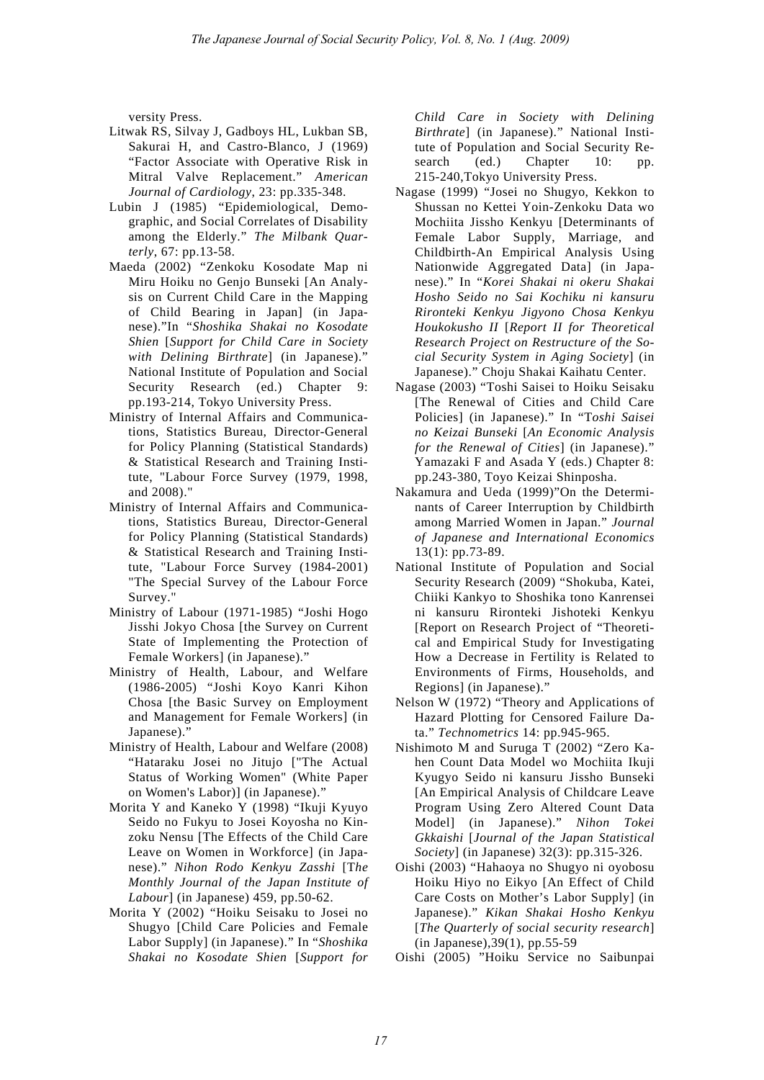versity Press.

- Litwak RS, Silvay J, Gadboys HL, Lukban SB, Sakurai H, and Castro-Blanco, J (1969) "Factor Associate with Operative Risk in Mitral Valve Replacement." *American Journal of Cardiology*, 23: pp.335-348.
- Lubin J (1985) "Epidemiological, Demographic, and Social Correlates of Disability among the Elderly." *The Milbank Quarterly*, 67: pp.13-58.
- Maeda (2002) "Zenkoku Kosodate Map ni Miru Hoiku no Genjo Bunseki [An Analysis on Current Child Care in the Mapping of Child Bearing in Japan] (in Japanese)."In "*Shoshika Shakai no Kosodate Shien* [*Support for Child Care in Society with Delining Birthrate*] (in Japanese)." National Institute of Population and Social Security Research (ed.) Chapter 9: pp.193-214, Tokyo University Press.
- Ministry of Internal Affairs and Communications, Statistics Bureau, Director-General for Policy Planning (Statistical Standards) & Statistical Research and Training Institute, "Labour Force Survey (1979, 1998, and 2008)."
- Ministry of Internal Affairs and Communications, Statistics Bureau, Director-General for Policy Planning (Statistical Standards) & Statistical Research and Training Institute, "Labour Force Survey (1984-2001) "The Special Survey of the Labour Force Survey."
- Ministry of Labour (1971-1985) "Joshi Hogo Jisshi Jokyo Chosa [the Survey on Current State of Implementing the Protection of Female Workers] (in Japanese)."
- Ministry of Health, Labour, and Welfare (1986-2005) "Joshi Koyo Kanri Kihon Chosa [the Basic Survey on Employment and Management for Female Workers] (in Japanese)."
- Ministry of Health, Labour and Welfare (2008) "Hataraku Josei no Jitujo ["The Actual Status of Working Women" (White Paper on Women's Labor)] (in Japanese)."
- Morita Y and Kaneko Y (1998) "Ikuji Kyuyo Seido no Fukyu to Josei Koyosha no Kinzoku Nensu [The Effects of the Child Care Leave on Women in Workforce] (in Japanese)." *Nihon Rodo Kenkyu Zasshi* [T*he Monthly Journal of the Japan Institute of Labour*] (in Japanese) 459, pp.50-62.
- Morita Y (2002) "Hoiku Seisaku to Josei no Shugyo [Child Care Policies and Female Labor Supply] (in Japanese)." In "*Shoshika Shakai no Kosodate Shien* [*Support for*

*Child Care in Society with Delining Birthrate*] (in Japanese)." National Institute of Population and Social Security Research (ed.) Chapter 10: pp. 215-240,Tokyo University Press.

- Nagase (1999) "Josei no Shugyo, Kekkon to Shussan no Kettei Yoin-Zenkoku Data wo Mochiita Jissho Kenkyu [Determinants of Female Labor Supply, Marriage, and Childbirth-An Empirical Analysis Using Nationwide Aggregated Data] (in Japanese)." In "*Korei Shakai ni okeru Shakai Hosho Seido no Sai Kochiku ni kansuru Rironteki Kenkyu Jigyono Chosa Kenkyu Houkokusho II* [*Report II for Theoretical Research Project on Restructure of the Social Security System in Aging Society*] (in Japanese)." Choju Shakai Kaihatu Center.
- Nagase (2003) "Toshi Saisei to Hoiku Seisaku [The Renewal of Cities and Child Care Policies] (in Japanese)." In "T*oshi Saisei no Keizai Bunseki* [*An Economic Analysis for the Renewal of Cities*] (in Japanese)." Yamazaki F and Asada Y (eds.) Chapter 8: pp.243-380, Toyo Keizai Shinposha.
- Nakamura and Ueda (1999)"On the Determinants of Career Interruption by Childbirth among Married Women in Japan." *Journal of Japanese and International Economics* 13(1): pp.73-89.
- National Institute of Population and Social Security Research (2009) "Shokuba, Katei, Chiiki Kankyo to Shoshika tono Kanrensei ni kansuru Rironteki Jishoteki Kenkyu [Report on Research Project of "Theoretical and Empirical Study for Investigating How a Decrease in Fertility is Related to Environments of Firms, Households, and Regions] (in Japanese)."
- Nelson W (1972) "Theory and Applications of Hazard Plotting for Censored Failure Data." *Technometrics* 14: pp.945-965.
- Nishimoto M and Suruga T (2002) "Zero Kahen Count Data Model wo Mochiita Ikuji Kyugyo Seido ni kansuru Jissho Bunseki [An Empirical Analysis of Childcare Leave Program Using Zero Altered Count Data Model] (in Japanese)." *Nihon Tokei Gkkaishi* [*Journal of the Japan Statistical Society*] (in Japanese) 32(3): pp.315-326.
- Oishi (2003) "Hahaoya no Shugyo ni oyobosu Hoiku Hiyo no Eikyo [An Effect of Child Care Costs on Mother's Labor Supply] (in Japanese)." *Kikan Shakai Hosho Kenkyu* [*The Quarterly of social security research*] (in Japanese),39(1), pp.55-59
- Oishi (2005) "Hoiku Service no Saibunpai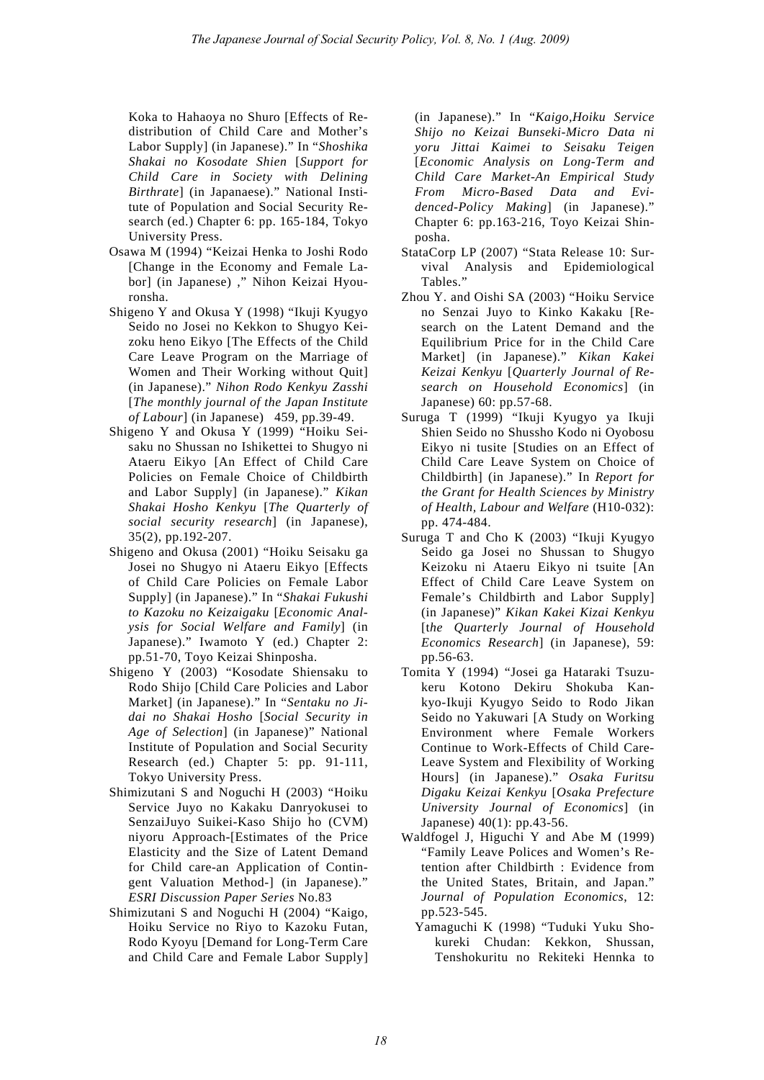Koka to Hahaoya no Shuro [Effects of Redistribution of Child Care and Mother's Labor Supply] (in Japanese)." In "*Shoshika Shakai no Kosodate Shien* [*Support for Child Care in Society with Delining Birthrate*] (in Japanaese)." National Institute of Population and Social Security Research (ed.) Chapter 6: pp. 165-184, Tokyo University Press.

- Osawa M (1994) "Keizai Henka to Joshi Rodo [Change in the Economy and Female Labor] (in Japanese) ," Nihon Keizai Hyouronsha.
- Shigeno Y and Okusa Y (1998) "Ikuji Kyugyo Seido no Josei no Kekkon to Shugyo Keizoku heno Eikyo [The Effects of the Child Care Leave Program on the Marriage of Women and Their Working without Quit] (in Japanese)." *Nihon Rodo Kenkyu Zasshi*  [*The monthly journal of the Japan Institute of Labour*] (in Japanese) 459, pp.39-49.
- Shigeno Y and Okusa Y (1999) "Hoiku Seisaku no Shussan no Ishikettei to Shugyo ni Ataeru Eikyo [An Effect of Child Care Policies on Female Choice of Childbirth and Labor Supply] (in Japanese)." *Kikan Shakai Hosho Kenkyu* [*The Quarterly of social security research*] (in Japanese), 35(2), pp.192-207.
- Shigeno and Okusa (2001) "Hoiku Seisaku ga Josei no Shugyo ni Ataeru Eikyo [Effects of Child Care Policies on Female Labor Supply] (in Japanese)." In "*Shakai Fukushi to Kazoku no Keizaigaku* [*Economic Analysis for Social Welfare and Family*] (in Japanese)." Iwamoto Y (ed.) Chapter 2: pp.51-70, Toyo Keizai Shinposha.
- Shigeno Y (2003) "Kosodate Shiensaku to Rodo Shijo [Child Care Policies and Labor Market] (in Japanese)." In "*Sentaku no Jidai no Shakai Hosho* [*Social Security in Age of Selection*] (in Japanese)" National Institute of Population and Social Security Research (ed.) Chapter 5: pp. 91-111, Tokyo University Press.
- Shimizutani S and Noguchi H (2003) "Hoiku Service Juyo no Kakaku Danryokusei to SenzaiJuyo Suikei-Kaso Shijo ho (CVM) niyoru Approach-[Estimates of the Price Elasticity and the Size of Latent Demand for Child care-an Application of Contingent Valuation Method-] (in Japanese)." *ESRI Discussion Paper Series* No.83
- Shimizutani S and Noguchi H (2004) "Kaigo, Hoiku Service no Riyo to Kazoku Futan, Rodo Kyoyu [Demand for Long-Term Care and Child Care and Female Labor Supply]

(in Japanese)." In "*Kaigo,Hoiku Service Shijo no Keizai Bunseki-Micro Data ni yoru Jittai Kaimei to Seisaku Teigen* [*Economic Analysis on Long-Term and Child Care Market-An Empirical Study From Micro-Based Data and Evidenced-Policy Making*] (in Japanese)." Chapter 6: pp.163-216, Toyo Keizai Shinposha.

- StataCorp LP (2007) "Stata Release 10: Survival Analysis and Epidemiological Tables."
- Zhou Y. and Oishi SA (2003) "Hoiku Service no Senzai Juyo to Kinko Kakaku [Research on the Latent Demand and the Equilibrium Price for in the Child Care Market] (in Japanese)." *Kikan Kakei Keizai Kenkyu* [*Quarterly Journal of Research on Household Economics*] (in Japanese) 60: pp.57-68.
- Suruga T (1999) "Ikuji Kyugyo ya Ikuji Shien Seido no Shussho Kodo ni Oyobosu Eikyo ni tusite [Studies on an Effect of Child Care Leave System on Choice of Childbirth] (in Japanese)." In *Report for the Grant for Health Sciences by Ministry of Health, Labour and Welfare* (H10-032): pp. 474-484.
- Suruga T and Cho K (2003) "Ikuji Kyugyo Seido ga Josei no Shussan to Shugyo Keizoku ni Ataeru Eikyo ni tsuite [An Effect of Child Care Leave System on Female's Childbirth and Labor Supply] (in Japanese)" *Kikan Kakei Kizai Kenkyu* [t*he Quarterly Journal of Household Economics Research*] (in Japanese), 59: pp.56-63.
- Tomita Y (1994) "Josei ga Hataraki Tsuzukeru Kotono Dekiru Shokuba Kankyo-Ikuji Kyugyo Seido to Rodo Jikan Seido no Yakuwari [A Study on Working Environment where Female Workers Continue to Work-Effects of Child Care-Leave System and Flexibility of Working Hours] (in Japanese)." *Osaka Furitsu Digaku Keizai Kenkyu* [*Osaka Prefecture University Journal of Economics*] (in Japanese) 40(1): pp.43-56.
- Waldfogel J, Higuchi Y and Abe M (1999) "Family Leave Polices and Women's Retention after Childbirth : Evidence from the United States, Britain, and Japan." *Journal of Population Economics*, 12: pp.523-545.
	- Yamaguchi K (1998) "Tuduki Yuku Shokureki Chudan: Kekkon, Shussan, Tenshokuritu no Rekiteki Hennka to